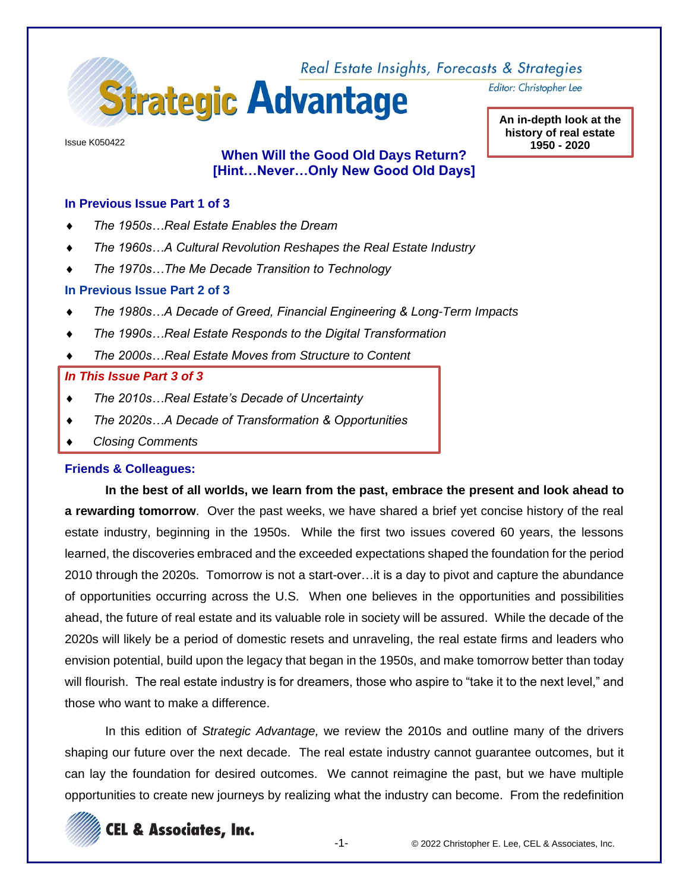

Issue K050422

# **When Will the Good Old Days Return? [Hint…Never…Only New Good Old Days]**

#### **In Previous Issue Part 1 of 3**

- *The 1950s…Real Estate Enables the Dream*
- *The 1960s…A Cultural Revolution Reshapes the Real Estate Industry*
- *The 1970s…The Me Decade Transition to Technology*

#### **In Previous Issue Part 2 of 3**

- *The 1980s…A Decade of Greed, Financial Engineering & Long-Term Impacts*
- *The 1990s…Real Estate Responds to the Digital Transformation*
- *The 2000s…Real Estate Moves from Structure to Content*

#### *In This Issue Part 3 of 3*

- *The 2010s…Real Estate's Decade of Uncertainty*
- *The 2020s…A Decade of Transformation & Opportunities*
- *Closing Comments*

#### **Friends & Colleagues:**

**In the best of all worlds, we learn from the past, embrace the present and look ahead to a rewarding tomorrow**. Over the past weeks, we have shared a brief yet concise history of the real estate industry, beginning in the 1950s. While the first two issues covered 60 years, the lessons learned, the discoveries embraced and the exceeded expectations shaped the foundation for the period 2010 through the 2020s. Tomorrow is not a start-over…it is a day to pivot and capture the abundance of opportunities occurring across the U.S. When one believes in the opportunities and possibilities ahead, the future of real estate and its valuable role in society will be assured. While the decade of the 2020s will likely be a period of domestic resets and unraveling, the real estate firms and leaders who envision potential, build upon the legacy that began in the 1950s, and make tomorrow better than today will flourish. The real estate industry is for dreamers, those who aspire to "take it to the next level," and those who want to make a difference.

In this edition of *Strategic Advantage,* we review the 2010s and outline many of the drivers shaping our future over the next decade. The real estate industry cannot guarantee outcomes, but it can lay the foundation for desired outcomes. We cannot reimagine the past, but we have multiple opportunities to create new journeys by realizing what the industry can become. From the redefinition



Editor: Christopher Lee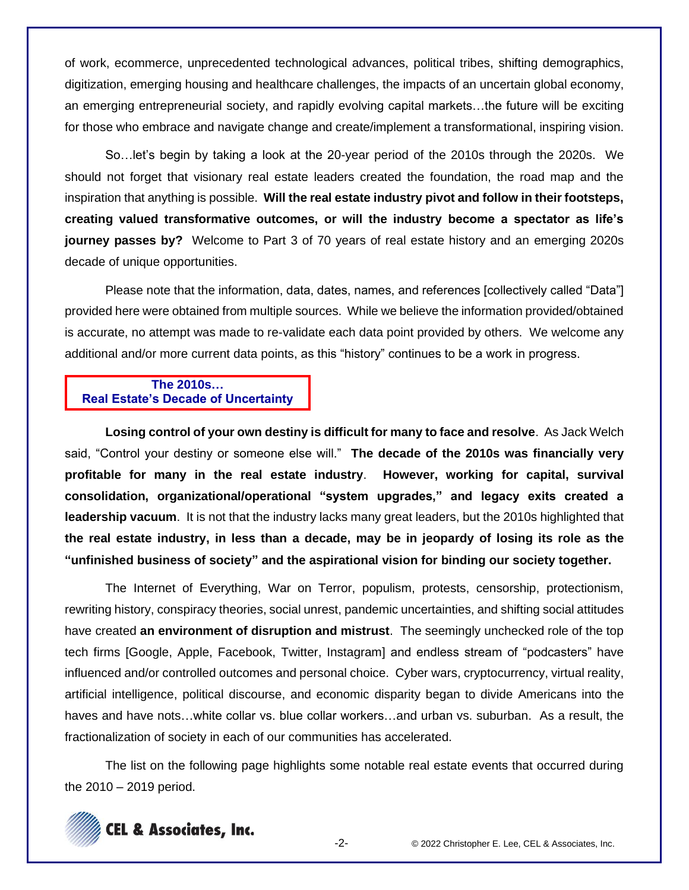of work, ecommerce, unprecedented technological advances, political tribes, shifting demographics, digitization, emerging housing and healthcare challenges, the impacts of an uncertain global economy, an emerging entrepreneurial society, and rapidly evolving capital markets…the future will be exciting for those who embrace and navigate change and create/implement a transformational, inspiring vision.

So…let's begin by taking a look at the 20-year period of the 2010s through the 2020s. We should not forget that visionary real estate leaders created the foundation, the road map and the inspiration that anything is possible. **Will the real estate industry pivot and follow in their footsteps, creating valued transformative outcomes, or will the industry become a spectator as life's journey passes by?** Welcome to Part 3 of 70 years of real estate history and an emerging 2020s decade of unique opportunities.

Please note that the information, data, dates, names, and references [collectively called "Data"] provided here were obtained from multiple sources. While we believe the information provided/obtained is accurate, no attempt was made to re-validate each data point provided by others. We welcome any additional and/or more current data points, as this "history" continues to be a work in progress.

#### **The 2010s… Real Estate's Decade of Uncertainty**

**Losing control of your own destiny is difficult for many to face and resolve**. As Jack Welch said, "Control your destiny or someone else will." **The decade of the 2010s was financially very profitable for many in the real estate industry**. **However, working for capital, survival consolidation, organizational/operational "system upgrades," and legacy exits created a leadership vacuum**. It is not that the industry lacks many great leaders, but the 2010s highlighted that **the real estate industry, in less than a decade, may be in jeopardy of losing its role as the "unfinished business of society" and the aspirational vision for binding our society together.**

The Internet of Everything, War on Terror, populism, protests, censorship, protectionism, rewriting history, conspiracy theories, social unrest, pandemic uncertainties, and shifting social attitudes have created **an environment of disruption and mistrust**. The seemingly unchecked role of the top tech firms [Google, Apple, Facebook, Twitter, Instagram] and endless stream of "podcasters" have influenced and/or controlled outcomes and personal choice. Cyber wars, cryptocurrency, virtual reality, artificial intelligence, political discourse, and economic disparity began to divide Americans into the haves and have nots...white collar vs. blue collar workers...and urban vs. suburban. As a result, the fractionalization of society in each of our communities has accelerated.

The list on the following page highlights some notable real estate events that occurred during the 2010 – 2019 period.

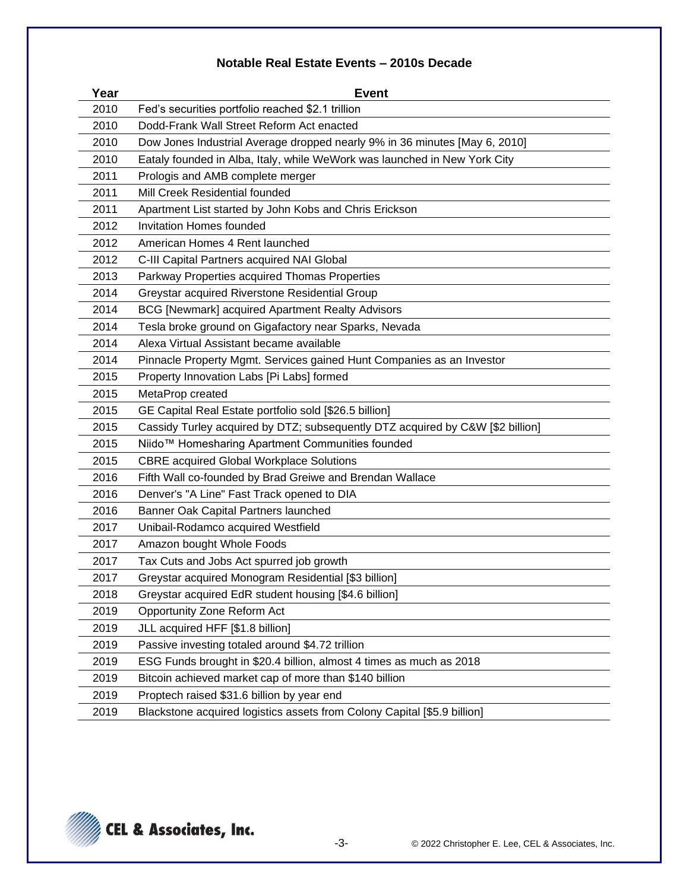# **Notable Real Estate Events – 2010s Decade**

| Year | <b>Event</b>                                                                   |
|------|--------------------------------------------------------------------------------|
| 2010 | Fed's securities portfolio reached \$2.1 trillion                              |
| 2010 | Dodd-Frank Wall Street Reform Act enacted                                      |
| 2010 | Dow Jones Industrial Average dropped nearly 9% in 36 minutes [May 6, 2010]     |
| 2010 | Eataly founded in Alba, Italy, while WeWork was launched in New York City      |
| 2011 | Prologis and AMB complete merger                                               |
| 2011 | Mill Creek Residential founded                                                 |
| 2011 | Apartment List started by John Kobs and Chris Erickson                         |
| 2012 | <b>Invitation Homes founded</b>                                                |
| 2012 | American Homes 4 Rent launched                                                 |
| 2012 | C-III Capital Partners acquired NAI Global                                     |
| 2013 | Parkway Properties acquired Thomas Properties                                  |
| 2014 | Greystar acquired Riverstone Residential Group                                 |
| 2014 | <b>BCG [Newmark] acquired Apartment Realty Advisors</b>                        |
| 2014 | Tesla broke ground on Gigafactory near Sparks, Nevada                          |
| 2014 | Alexa Virtual Assistant became available                                       |
| 2014 | Pinnacle Property Mgmt. Services gained Hunt Companies as an Investor          |
| 2015 | Property Innovation Labs [Pi Labs] formed                                      |
| 2015 | MetaProp created                                                               |
| 2015 | GE Capital Real Estate portfolio sold [\$26.5 billion]                         |
| 2015 | Cassidy Turley acquired by DTZ; subsequently DTZ acquired by C&W [\$2 billion] |
| 2015 | Niido™ Homesharing Apartment Communities founded                               |
| 2015 | <b>CBRE</b> acquired Global Workplace Solutions                                |
| 2016 | Fifth Wall co-founded by Brad Greiwe and Brendan Wallace                       |
| 2016 | Denver's "A Line" Fast Track opened to DIA                                     |
| 2016 | Banner Oak Capital Partners launched                                           |
| 2017 | Unibail-Rodamco acquired Westfield                                             |
| 2017 | Amazon bought Whole Foods                                                      |
| 2017 | Tax Cuts and Jobs Act spurred job growth                                       |
| 2017 | Greystar acquired Monogram Residential [\$3 billion]                           |
| 2018 | Greystar acquired EdR student housing [\$4.6 billion]                          |
| 2019 | Opportunity Zone Reform Act                                                    |
| 2019 | JLL acquired HFF [\$1.8 billion]                                               |
| 2019 | Passive investing totaled around \$4.72 trillion                               |
| 2019 | ESG Funds brought in \$20.4 billion, almost 4 times as much as 2018            |
| 2019 | Bitcoin achieved market cap of more than \$140 billion                         |
| 2019 | Proptech raised \$31.6 billion by year end                                     |
| 2019 | Blackstone acquired logistics assets from Colony Capital [\$5.9 billion]       |

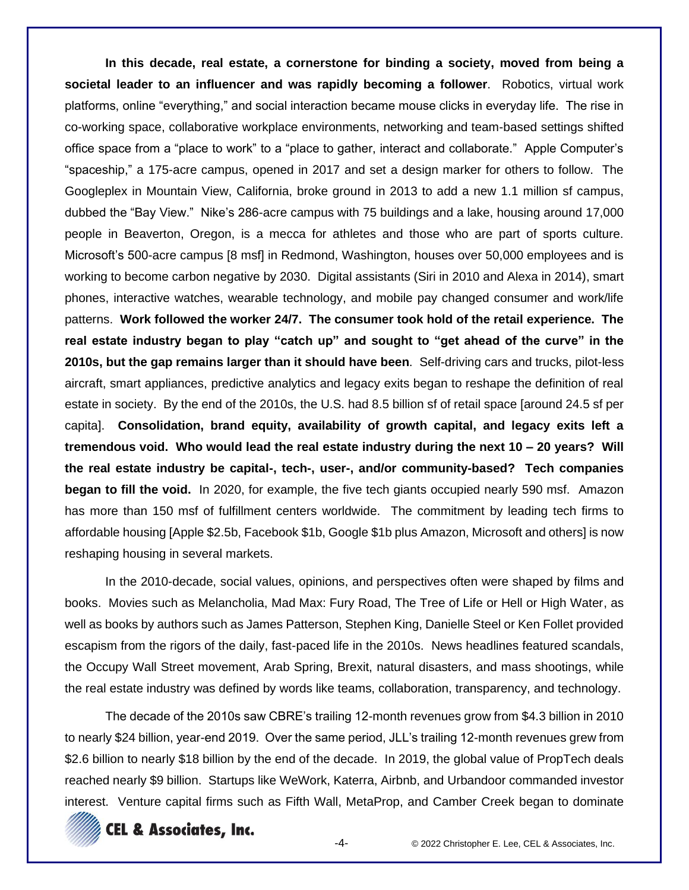**In this decade, real estate, a cornerstone for binding a society, moved from being a societal leader to an influencer and was rapidly becoming a follower**. Robotics, virtual work platforms, online "everything," and social interaction became mouse clicks in everyday life. The rise in co-working space, collaborative workplace environments, networking and team-based settings shifted office space from a "place to work" to a "place to gather, interact and collaborate." Apple Computer's "spaceship," a 175-acre campus, opened in 2017 and set a design marker for others to follow. The Googleplex in Mountain View, California, broke ground in 2013 to add a new 1.1 million sf campus, dubbed the "Bay View." Nike's 286-acre campus with 75 buildings and a lake, housing around 17,000 people in Beaverton, Oregon, is a mecca for athletes and those who are part of sports culture. Microsoft's 500-acre campus [8 msf] in Redmond, Washington, houses over 50,000 employees and is working to become carbon negative by 2030. Digital assistants (Siri in 2010 and Alexa in 2014), smart phones, interactive watches, wearable technology, and mobile pay changed consumer and work/life patterns. **Work followed the worker 24/7. The consumer took hold of the retail experience. The real estate industry began to play "catch up" and sought to "get ahead of the curve" in the 2010s, but the gap remains larger than it should have been**. Self-driving cars and trucks, pilot-less aircraft, smart appliances, predictive analytics and legacy exits began to reshape the definition of real estate in society. By the end of the 2010s, the U.S. had 8.5 billion sf of retail space [around 24.5 sf per capita]. **Consolidation, brand equity, availability of growth capital, and legacy exits left a tremendous void. Who would lead the real estate industry during the next 10 – 20 years? Will the real estate industry be capital-, tech-, user-, and/or community-based? Tech companies began to fill the void.** In 2020, for example, the five tech giants occupied nearly 590 msf. Amazon has more than 150 msf of fulfillment centers worldwide. The commitment by leading tech firms to affordable housing [Apple \$2.5b, Facebook \$1b, Google \$1b plus Amazon, Microsoft and others] is now reshaping housing in several markets.

In the 2010-decade, social values, opinions, and perspectives often were shaped by films and books. Movies such as Melancholia, Mad Max: Fury Road, The Tree of Life or Hell or High Water, as well as books by authors such as James Patterson, Stephen King, Danielle Steel or Ken Follet provided escapism from the rigors of the daily, fast-paced life in the 2010s. News headlines featured scandals, the Occupy Wall Street movement, Arab Spring, Brexit, natural disasters, and mass shootings, while the real estate industry was defined by words like teams, collaboration, transparency, and technology.

The decade of the 2010s saw CBRE's trailing 12-month revenues grow from \$4.3 billion in 2010 to nearly \$24 billion, year-end 2019. Over the same period, JLL's trailing 12-month revenues grew from \$2.6 billion to nearly \$18 billion by the end of the decade. In 2019, the global value of PropTech deals reached nearly \$9 billion. Startups like WeWork, Katerra, Airbnb, and Urbandoor commanded investor interest. Venture capital firms such as Fifth Wall, MetaProp, and Camber Creek began to dominate

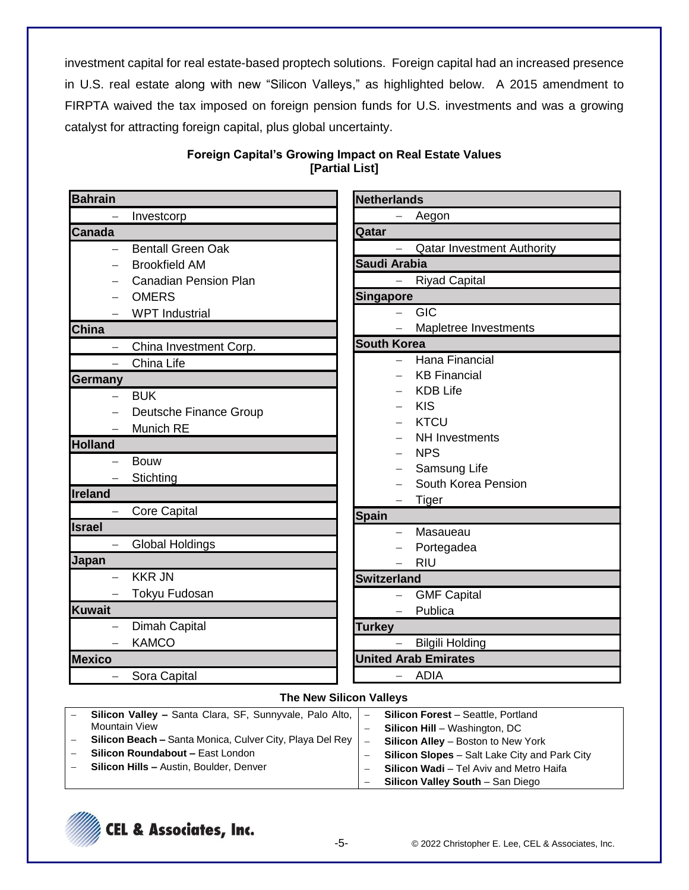investment capital for real estate-based proptech solutions. Foreign capital had an increased presence in U.S. real estate along with new "Silicon Valleys," as highlighted below. A 2015 amendment to FIRPTA waived the tax imposed on foreign pension funds for U.S. investments and was a growing catalyst for attracting foreign capital, plus global uncertainty.

| <b>Bahrain</b>                                                            | <b>Netherlands</b>                                                                                      |
|---------------------------------------------------------------------------|---------------------------------------------------------------------------------------------------------|
| Investcorp                                                                | Aegon                                                                                                   |
| <b>Canada</b>                                                             | Qatar                                                                                                   |
| <b>Bentall Green Oak</b>                                                  | <b>Qatar Investment Authority</b>                                                                       |
| <b>Brookfield AM</b>                                                      | Saudi Arabia                                                                                            |
| <b>Canadian Pension Plan</b>                                              | <b>Riyad Capital</b><br>$\overline{\phantom{0}}$                                                        |
| <b>OMERS</b>                                                              | <b>Singapore</b>                                                                                        |
| <b>WPT</b> Industrial                                                     | GIC                                                                                                     |
| China                                                                     | Mapletree Investments                                                                                   |
| China Investment Corp.<br>$\qquad \qquad -$                               | <b>South Korea</b>                                                                                      |
| China Life<br>$\overline{\phantom{0}}$                                    | Hana Financial                                                                                          |
| <b>Germany</b>                                                            | <b>KB Financial</b>                                                                                     |
| <b>BUK</b><br>$\overline{\phantom{0}}$                                    | <b>KDB Life</b>                                                                                         |
| Deutsche Finance Group                                                    | <b>KIS</b>                                                                                              |
| Munich RE                                                                 | <b>KTCU</b>                                                                                             |
| <b>Holland</b>                                                            | NH Investments                                                                                          |
| <b>Bouw</b>                                                               | <b>NPS</b>                                                                                              |
| Stichting                                                                 | Samsung Life                                                                                            |
| Ireland                                                                   | South Korea Pension                                                                                     |
| <b>Core Capital</b>                                                       | Tiger                                                                                                   |
| <b>Israel</b>                                                             | <b>Spain</b>                                                                                            |
| Global Holdings                                                           | Masaueau<br>$\overline{\phantom{0}}$                                                                    |
| Japan                                                                     | Portegadea<br><b>RIU</b>                                                                                |
| <b>KKR JN</b>                                                             | <b>Switzerland</b>                                                                                      |
|                                                                           |                                                                                                         |
|                                                                           |                                                                                                         |
|                                                                           |                                                                                                         |
|                                                                           |                                                                                                         |
|                                                                           |                                                                                                         |
|                                                                           |                                                                                                         |
| Tokyu Fudosan<br>Kuwait<br>Dimah Capital<br><b>KAMCO</b><br><b>Mexico</b> | <b>GMF Capital</b><br>Publica<br><b>Turkey</b><br><b>Bilgili Holding</b><br><b>United Arab Emirates</b> |
| Sora Capital                                                              | - ADIA                                                                                                  |

# **Foreign Capital's Growing Impact on Real Estate Values [Partial List]**

#### **The New Silicon Valleys**

| <b>Silicon Valley – Santa Clara, SF, Sunnyvale, Palo Alto,   –</b> |                          | <b>Silicon Forest</b> – Seattle, Portland            |
|--------------------------------------------------------------------|--------------------------|------------------------------------------------------|
| Mountain View                                                      |                          | <b>Silicon Hill</b> – Washington, DC                 |
| Silicon Beach - Santa Monica, Culver City, Playa Del Rey           | $\overline{\phantom{0}}$ | <b>Silicon Alley</b> – Boston to New York            |
| Silicon Roundabout - East London                                   |                          | <b>Silicon Slopes</b> – Salt Lake City and Park City |
| <b>Silicon Hills - Austin, Boulder, Denver</b>                     |                          | <b>Silicon Wadi</b> – Tel Aviv and Metro Haifa       |
|                                                                    | $\overline{\phantom{0}}$ | Silicon Valley South - San Diego                     |

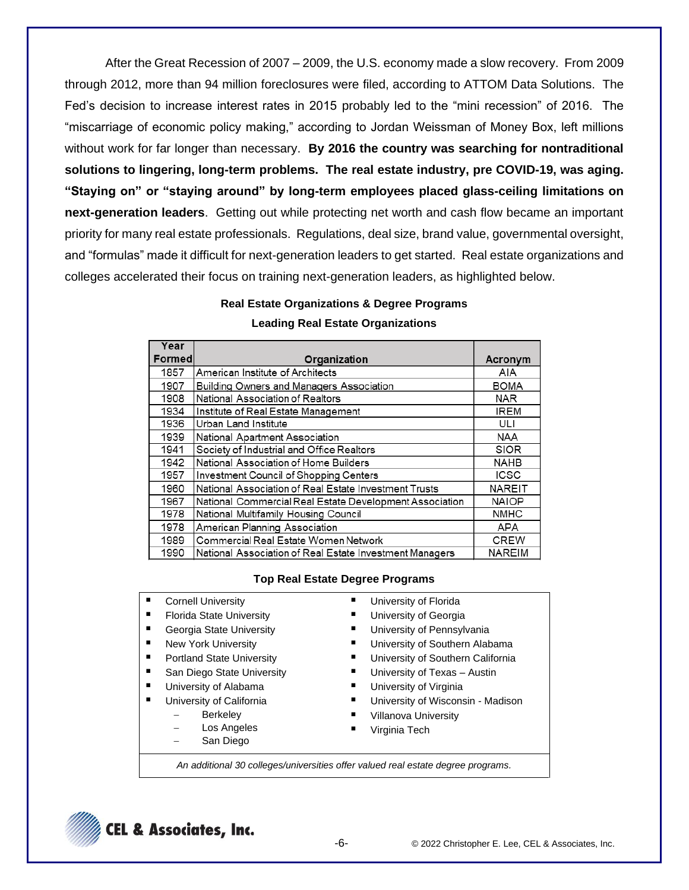After the Great Recession of 2007 – 2009, the U.S. economy made a slow recovery. From 2009 through 2012, more than 94 million foreclosures were filed, according to ATTOM Data Solutions. The Fed's decision to increase interest rates in 2015 probably led to the "mini recession" of 2016. The "miscarriage of economic policy making," according to Jordan Weissman of Money Box, left millions without work for far longer than necessary. **By 2016 the country was searching for nontraditional solutions to lingering, long-term problems. The real estate industry, pre COVID-19, was aging. "Staying on" or "staying around" by long-term employees placed glass-ceiling limitations on next-generation leaders**. Getting out while protecting net worth and cash flow became an important priority for many real estate professionals. Regulations, deal size, brand value, governmental oversight, and "formulas" made it difficult for next-generation leaders to get started. Real estate organizations and colleges accelerated their focus on training next-generation leaders, as highlighted below.

#### **Real Estate Organizations & Degree Programs**

| Year   |                                                         |               |
|--------|---------------------------------------------------------|---------------|
| Formed | Organization                                            | Acronym       |
| 1857   | American Institute of Architects                        | AIA           |
| 1907   | <b>Building Owners and Managers Association</b>         | <b>BOMA</b>   |
| 1908   | National Association of Realtors                        | <b>NAR</b>    |
| 1934   | Institute of Real Estate Management                     | <b>IREM</b>   |
| 1936   | Urban Land Institute                                    | ULI           |
| 1939   | National Apartment Association                          | <b>NAA</b>    |
| 1941   | Society of Industrial and Office Realtors               | <b>SIOR</b>   |
| 1942   | National Association of Home Builders                   | <b>NAHB</b>   |
| 1957   | Investment Council of Shopping Centers                  | <b>ICSC</b>   |
| 1960   | National Association of Real Estate Investment Trusts   | NAREIT        |
| 1967   | National Commercial Real Estate Development Association | <b>NAIOP</b>  |
| 1978   | National Multifamily Housing Council                    | <b>NMHC</b>   |
| 1978   | American Planning Association                           | APA           |
| 1989   | Commercial Real Estate Women Network                    | <b>CREW</b>   |
| 1990   | National Association of Real Estate Investment Managers | <b>NAREIM</b> |

#### **Leading Real Estate Organizations**

#### **Top Real Estate Degree Programs**

- Cornell University
- **Florida State University**
- **Georgia State University**
- New York University
- **Portland State University**
- San Diego State University
- University of Alabama
- **University of California** 
	- − Berkeley
	- − Los Angeles
	- San Diego
- University of Florida
- University of Georgia
- University of Pennsylvania
- University of Southern Alabama
- University of Southern California
- University of Texas Austin
- **University of Virginia**
- University of Wisconsin Madison
- Villanova University
- Virginia Tech
- *An additional 30 colleges/universities offer valued real estate degree programs.*

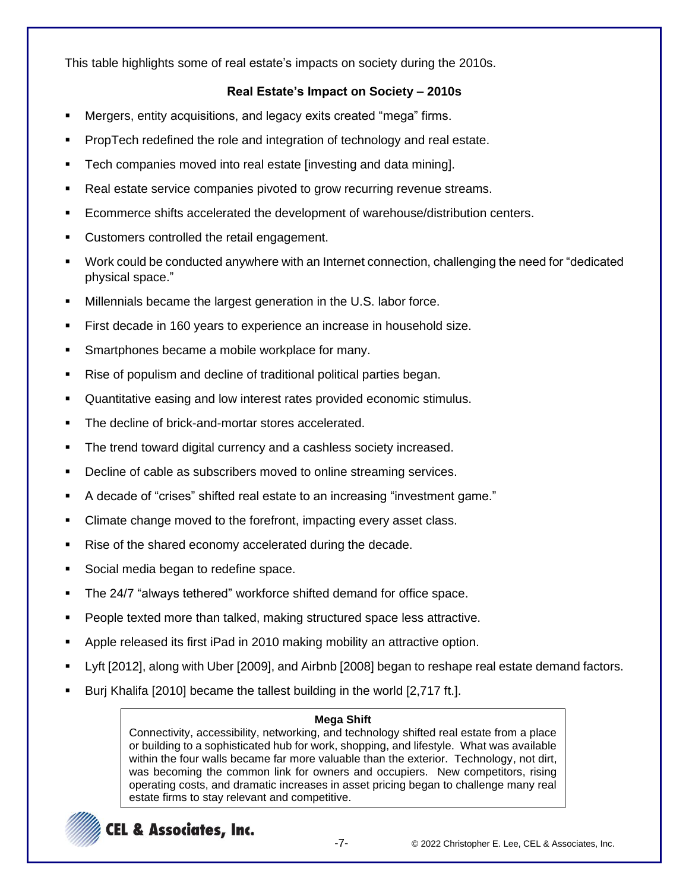This table highlights some of real estate's impacts on society during the 2010s.

### **Real Estate's Impact on Society – 2010s**

- Mergers, entity acquisitions, and legacy exits created "mega" firms.
- PropTech redefined the role and integration of technology and real estate.
- Tech companies moved into real estate [investing and data mining].
- Real estate service companies pivoted to grow recurring revenue streams.
- Ecommerce shifts accelerated the development of warehouse/distribution centers.
- Customers controlled the retail engagement.
- Work could be conducted anywhere with an Internet connection, challenging the need for "dedicated" physical space."
- Millennials became the largest generation in the U.S. labor force.
- First decade in 160 years to experience an increase in household size.
- Smartphones became a mobile workplace for many.
- Rise of populism and decline of traditional political parties began.
- Quantitative easing and low interest rates provided economic stimulus.
- The decline of brick-and-mortar stores accelerated.
- The trend toward digital currency and a cashless society increased.
- Decline of cable as subscribers moved to online streaming services.
- A decade of "crises" shifted real estate to an increasing "investment game."
- Climate change moved to the forefront, impacting every asset class.
- Rise of the shared economy accelerated during the decade.
- Social media began to redefine space.
- The 24/7 "always tethered" workforce shifted demand for office space.
- People texted more than talked, making structured space less attractive.
- Apple released its first iPad in 2010 making mobility an attractive option.
- Lyft [2012], along with Uber [2009], and Airbnb [2008] began to reshape real estate demand factors.
- Burj Khalifa [2010] became the tallest building in the world [2,717 ft.].

#### **Mega Shift**

Connectivity, accessibility, networking, and technology shifted real estate from a place or building to a sophisticated hub for work, shopping, and lifestyle. What was available within the four walls became far more valuable than the exterior. Technology, not dirt, was becoming the common link for owners and occupiers. New competitors, rising operating costs, and dramatic increases in asset pricing began to challenge many real estate firms to stay relevant and competitive.



**CEL & Associates, Inc.**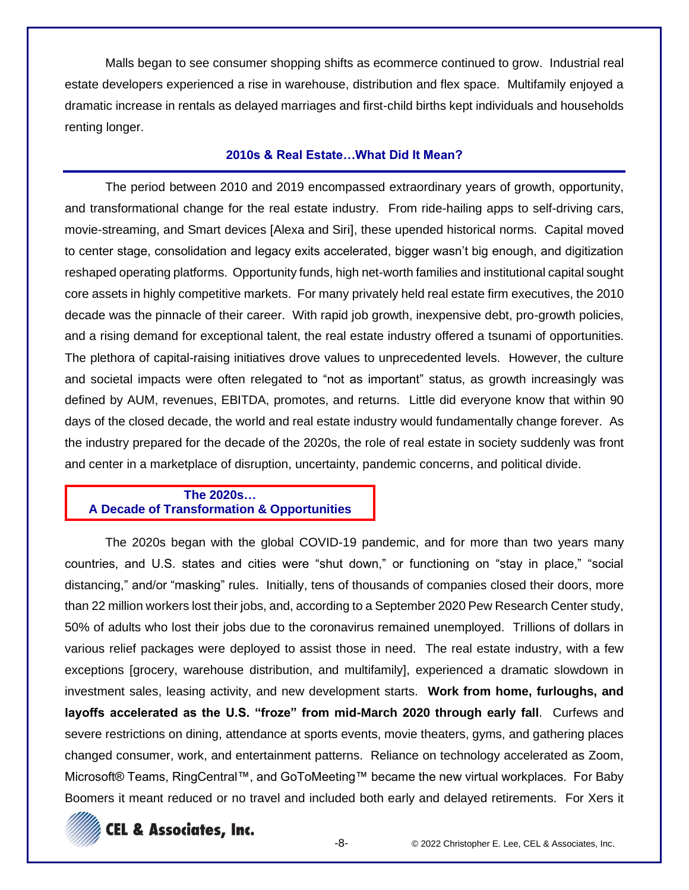Malls began to see consumer shopping shifts as ecommerce continued to grow. Industrial real estate developers experienced a rise in warehouse, distribution and flex space. Multifamily enjoyed a dramatic increase in rentals as delayed marriages and first-child births kept individuals and households renting longer.

#### **2010s & Real Estate…What Did It Mean?**

The period between 2010 and 2019 encompassed extraordinary years of growth, opportunity, and transformational change for the real estate industry. From ride-hailing apps to self-driving cars, movie-streaming, and Smart devices [Alexa and Siri], these upended historical norms. Capital moved to center stage, consolidation and legacy exits accelerated, bigger wasn't big enough, and digitization reshaped operating platforms. Opportunity funds, high net-worth families and institutional capital sought core assets in highly competitive markets. For many privately held real estate firm executives, the 2010 decade was the pinnacle of their career. With rapid job growth, inexpensive debt, pro-growth policies, and a rising demand for exceptional talent, the real estate industry offered a tsunami of opportunities. The plethora of capital-raising initiatives drove values to unprecedented levels. However, the culture and societal impacts were often relegated to "not as important" status, as growth increasingly was defined by AUM, revenues, EBITDA, promotes, and returns. Little did everyone know that within 90 days of the closed decade, the world and real estate industry would fundamentally change forever. As the industry prepared for the decade of the 2020s, the role of real estate in society suddenly was front and center in a marketplace of disruption, uncertainty, pandemic concerns, and political divide.

#### **The 2020s… A Decade of Transformation & Opportunities**

The 2020s began with the global COVID-19 pandemic, and for more than two years many countries, and U.S. states and cities were "shut down," or functioning on "stay in place," "social distancing," and/or "masking" rules. Initially, tens of thousands of companies closed their doors, more than 22 million workers lost their jobs, and, according to a September 2020 Pew Research Center study, 50% of adults who lost their jobs due to the coronavirus remained unemployed. Trillions of dollars in various relief packages were deployed to assist those in need. The real estate industry, with a few exceptions [grocery, warehouse distribution, and multifamily], experienced a dramatic slowdown in investment sales, leasing activity, and new development starts. **Work from home, furloughs, and layoffs accelerated as the U.S. "froze" from mid-March 2020 through early fall**. Curfews and severe restrictions on dining, attendance at sports events, movie theaters, gyms, and gathering places changed consumer, work, and entertainment patterns. Reliance on technology accelerated as Zoom, Microsoft® Teams, RingCentral™, and GoToMeeting™ became the new virtual workplaces. For Baby Boomers it meant reduced or no travel and included both early and delayed retirements. For Xers it

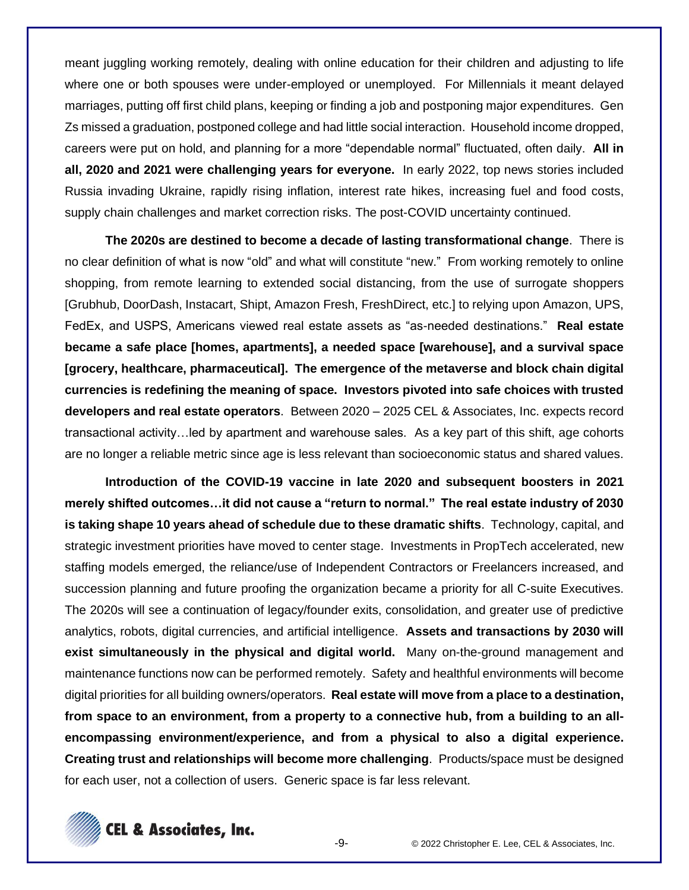meant juggling working remotely, dealing with online education for their children and adjusting to life where one or both spouses were under-employed or unemployed. For Millennials it meant delayed marriages, putting off first child plans, keeping or finding a job and postponing major expenditures. Gen Zs missed a graduation, postponed college and had little social interaction. Household income dropped, careers were put on hold, and planning for a more "dependable normal" fluctuated, often daily. **All in all, 2020 and 2021 were challenging years for everyone.** In early 2022, top news stories included Russia invading Ukraine, rapidly rising inflation, interest rate hikes, increasing fuel and food costs, supply chain challenges and market correction risks. The post-COVID uncertainty continued.

**The 2020s are destined to become a decade of lasting transformational change**. There is no clear definition of what is now "old" and what will constitute "new." From working remotely to online shopping, from remote learning to extended social distancing, from the use of surrogate shoppers [Grubhub, DoorDash, Instacart, Shipt, Amazon Fresh, FreshDirect, etc.] to relying upon Amazon, UPS, FedEx, and USPS, Americans viewed real estate assets as "as-needed destinations." **Real estate became a safe place [homes, apartments], a needed space [warehouse], and a survival space [grocery, healthcare, pharmaceutical]. The emergence of the metaverse and block chain digital currencies is redefining the meaning of space. Investors pivoted into safe choices with trusted developers and real estate operators**. Between 2020 – 2025 CEL & Associates, Inc. expects record transactional activity…led by apartment and warehouse sales. As a key part of this shift, age cohorts are no longer a reliable metric since age is less relevant than socioeconomic status and shared values.

**Introduction of the COVID-19 vaccine in late 2020 and subsequent boosters in 2021 merely shifted outcomes…it did not cause a "return to normal." The real estate industry of 2030 is taking shape 10 years ahead of schedule due to these dramatic shifts**. Technology, capital, and strategic investment priorities have moved to center stage. Investments in PropTech accelerated, new staffing models emerged, the reliance/use of Independent Contractors or Freelancers increased, and succession planning and future proofing the organization became a priority for all C-suite Executives. The 2020s will see a continuation of legacy/founder exits, consolidation, and greater use of predictive analytics, robots, digital currencies, and artificial intelligence. **Assets and transactions by 2030 will exist simultaneously in the physical and digital world.** Many on-the-ground management and maintenance functions now can be performed remotely. Safety and healthful environments will become digital priorities for all building owners/operators. **Real estate will move from a place to a destination, from space to an environment, from a property to a connective hub, from a building to an allencompassing environment/experience, and from a physical to also a digital experience. Creating trust and relationships will become more challenging**. Products/space must be designed for each user, not a collection of users. Generic space is far less relevant.

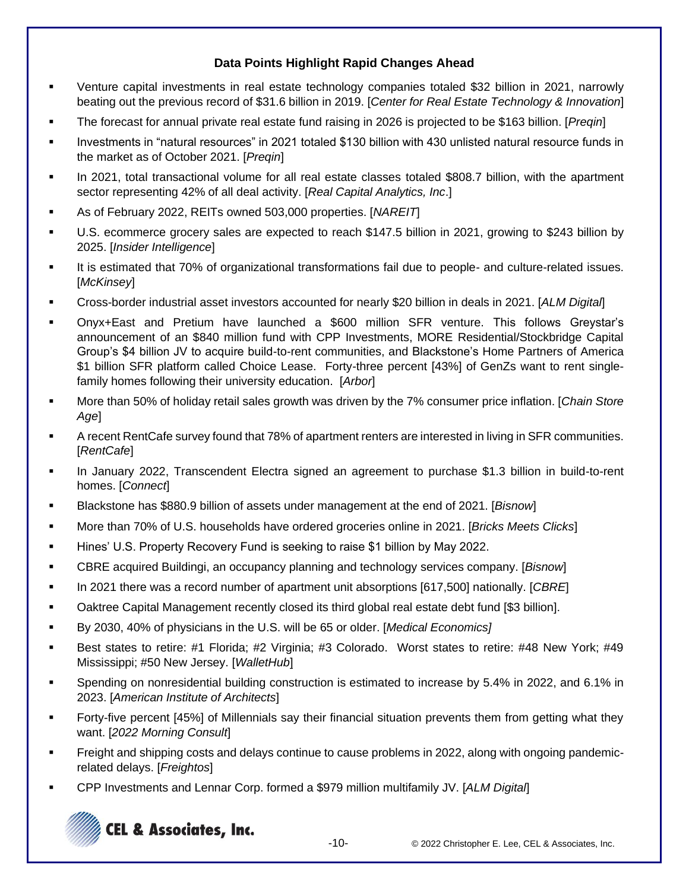#### **Data Points Highlight Rapid Changes Ahead**

- Venture capital investments in real estate technology companies totaled \$32 billion in 2021, narrowly beating out the previous record of \$31.6 billion in 2019. [*Center for Real Estate Technology & Innovation*]
- The forecast for annual private real estate fund raising in 2026 is projected to be \$163 billion. [*Preqin*]
- Investments in "natural resources" in 2021 totaled \$130 billion with 430 unlisted natural resource funds in the market as of October 2021. [*Preqin*]
- In 2021, total transactional volume for all real estate classes totaled \$808.7 billion, with the apartment sector representing 42% of all deal activity. [*Real Capital Analytics, Inc*.]
- As of February 2022, REITs owned 503,000 properties. [*NAREIT*]
- U.S. ecommerce grocery sales are expected to reach \$147.5 billion in 2021, growing to \$243 billion by 2025. [*Insider Intelligence*]
- It is estimated that 70% of organizational transformations fail due to people- and culture-related issues. [*McKinsey*]
- Cross-border industrial asset investors accounted for nearly \$20 billion in deals in 2021. [*ALM Digital*]
- Onyx+East and Pretium have launched a \$600 million SFR venture. This follows Greystar's announcement of an \$840 million fund with CPP Investments, MORE Residential/Stockbridge Capital Group's \$4 billion JV to acquire build-to-rent communities, and Blackstone's Home Partners of America \$1 billion SFR platform called Choice Lease. Forty-three percent [43%] of GenZs want to rent singlefamily homes following their university education. [*Arbor*]
- More than 50% of holiday retail sales growth was driven by the 7% consumer price inflation. [*Chain Store Age*]
- A recent RentCafe survey found that 78% of apartment renters are interested in living in SFR communities. [*RentCafe*]
- In January 2022, Transcendent Electra signed an agreement to purchase \$1.3 billion in build-to-rent homes. [*Connect*]
- Blackstone has \$880.9 billion of assets under management at the end of 2021. [*Bisnow*]
- More than 70% of U.S. households have ordered groceries online in 2021. [*Bricks Meets Clicks*]
- Hines' U.S. Property Recovery Fund is seeking to raise \$1 billion by May 2022.
- CBRE acquired Buildingi, an occupancy planning and technology services company. [*Bisnow*]
- In 2021 there was a record number of apartment unit absorptions [617,500] nationally. [*CBRE*]
- Oaktree Capital Management recently closed its third global real estate debt fund [\$3 billion].
- By 2030, 40% of physicians in the U.S. will be 65 or older. [*Medical Economics]*
- Best states to retire: #1 Florida; #2 Virginia; #3 Colorado. Worst states to retire: #48 New York; #49 Mississippi; #50 New Jersey. [*WalletHub*]
- Spending on nonresidential building construction is estimated to increase by 5.4% in 2022, and 6.1% in 2023. [*American Institute of Architects*]
- Forty-five percent [45%] of Millennials say their financial situation prevents them from getting what they want. [*2022 Morning Consult*]
- **Freight and shipping costs and delays continue to cause problems in 2022, along with ongoing pandemic**related delays. [*Freightos*]
- CPP Investments and Lennar Corp. formed a \$979 million multifamily JV. [*ALM Digital*]

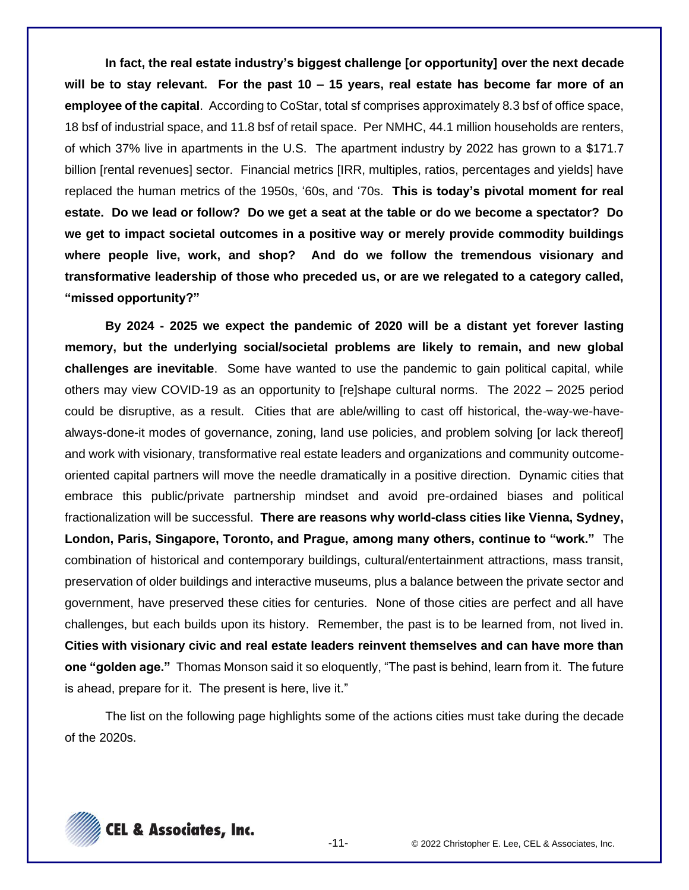**In fact, the real estate industry's biggest challenge [or opportunity] over the next decade will be to stay relevant. For the past 10 – 15 years, real estate has become far more of an employee of the capital**. According to CoStar, total sf comprises approximately 8.3 bsf of office space, 18 bsf of industrial space, and 11.8 bsf of retail space. Per NMHC, 44.1 million households are renters, of which 37% live in apartments in the U.S. The apartment industry by 2022 has grown to a \$171.7 billion [rental revenues] sector. Financial metrics [IRR, multiples, ratios, percentages and yields] have replaced the human metrics of the 1950s, '60s, and '70s. **This is today's pivotal moment for real estate. Do we lead or follow? Do we get a seat at the table or do we become a spectator? Do we get to impact societal outcomes in a positive way or merely provide commodity buildings where people live, work, and shop? And do we follow the tremendous visionary and transformative leadership of those who preceded us, or are we relegated to a category called, "missed opportunity?"**

**By 2024 - 2025 we expect the pandemic of 2020 will be a distant yet forever lasting memory, but the underlying social/societal problems are likely to remain, and new global challenges are inevitable**. Some have wanted to use the pandemic to gain political capital, while others may view COVID-19 as an opportunity to [re]shape cultural norms. The 2022 – 2025 period could be disruptive, as a result. Cities that are able/willing to cast off historical, the-way-we-havealways-done-it modes of governance, zoning, land use policies, and problem solving [or lack thereof] and work with visionary, transformative real estate leaders and organizations and community outcomeoriented capital partners will move the needle dramatically in a positive direction. Dynamic cities that embrace this public/private partnership mindset and avoid pre-ordained biases and political fractionalization will be successful. **There are reasons why world-class cities like Vienna, Sydney, London, Paris, Singapore, Toronto, and Prague, among many others, continue to "work."** The combination of historical and contemporary buildings, cultural/entertainment attractions, mass transit, preservation of older buildings and interactive museums, plus a balance between the private sector and government, have preserved these cities for centuries. None of those cities are perfect and all have challenges, but each builds upon its history. Remember, the past is to be learned from, not lived in. **Cities with visionary civic and real estate leaders reinvent themselves and can have more than one "golden age."** Thomas Monson said it so eloquently, "The past is behind, learn from it. The future is ahead, prepare for it. The present is here, live it."

The list on the following page highlights some of the actions cities must take during the decade of the 2020s.

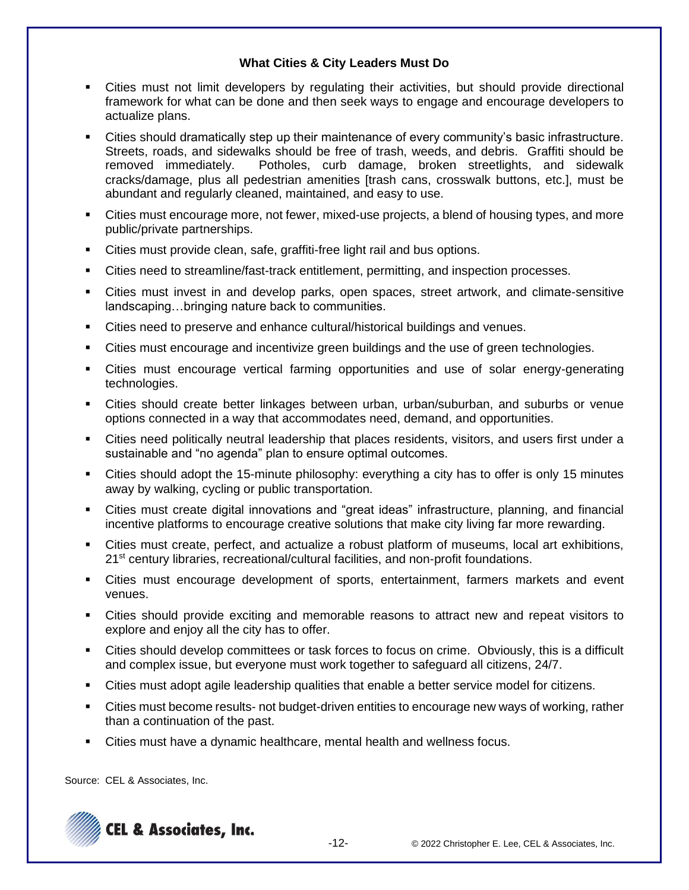#### **What Cities & City Leaders Must Do**

- Cities must not limit developers by regulating their activities, but should provide directional framework for what can be done and then seek ways to engage and encourage developers to actualize plans.
- Cities should dramatically step up their maintenance of every community's basic infrastructure. Streets, roads, and sidewalks should be free of trash, weeds, and debris. Graffiti should be removed immediately. Potholes, curb damage, broken streetlights, and sidewalk cracks/damage, plus all pedestrian amenities [trash cans, crosswalk buttons, etc.], must be abundant and regularly cleaned, maintained, and easy to use.
- **EXECT** Cities must encourage more, not fewer, mixed-use projects, a blend of housing types, and more public/private partnerships.
- Cities must provide clean, safe, graffiti-free light rail and bus options.
- Cities need to streamline/fast-track entitlement, permitting, and inspection processes.
- Cities must invest in and develop parks, open spaces, street artwork, and climate-sensitive landscaping…bringing nature back to communities.
- Cities need to preserve and enhance cultural/historical buildings and venues.
- Cities must encourage and incentivize green buildings and the use of green technologies.
- Cities must encourage vertical farming opportunities and use of solar energy-generating technologies.
- Cities should create better linkages between urban, urban/suburban, and suburbs or venue options connected in a way that accommodates need, demand, and opportunities.
- Cities need politically neutral leadership that places residents, visitors, and users first under a sustainable and "no agenda" plan to ensure optimal outcomes.
- Cities should adopt the 15-minute philosophy: everything a city has to offer is only 15 minutes away by walking, cycling or public transportation.
- Cities must create digital innovations and "great ideas" infrastructure, planning, and financial incentive platforms to encourage creative solutions that make city living far more rewarding.
- Cities must create, perfect, and actualize a robust platform of museums, local art exhibitions, 21<sup>st</sup> century libraries, recreational/cultural facilities, and non-profit foundations.
- **EXECT** Cities must encourage development of sports, entertainment, farmers markets and event venues.
- Cities should provide exciting and memorable reasons to attract new and repeat visitors to explore and enjoy all the city has to offer.
- Cities should develop committees or task forces to focus on crime. Obviously, this is a difficult and complex issue, but everyone must work together to safeguard all citizens, 24/7.
- Cities must adopt agile leadership qualities that enable a better service model for citizens.
- Cities must become results- not budget-driven entities to encourage new ways of working, rather than a continuation of the past.
- Cities must have a dynamic healthcare, mental health and wellness focus.

Source: CEL & Associates, Inc.

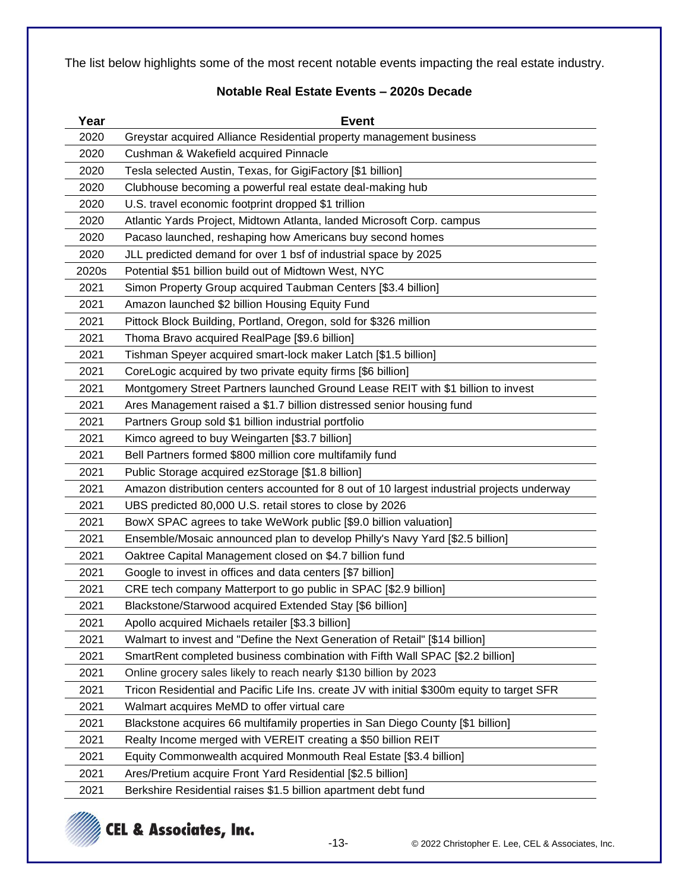The list below highlights some of the most recent notable events impacting the real estate industry.

#### **Notable Real Estate Events – 2020s Decade**

| Year  | <b>Event</b>                                                                                |  |  |  |
|-------|---------------------------------------------------------------------------------------------|--|--|--|
| 2020  | Greystar acquired Alliance Residential property management business                         |  |  |  |
| 2020  | Cushman & Wakefield acquired Pinnacle                                                       |  |  |  |
| 2020  | Tesla selected Austin, Texas, for GigiFactory [\$1 billion]                                 |  |  |  |
| 2020  | Clubhouse becoming a powerful real estate deal-making hub                                   |  |  |  |
| 2020  | U.S. travel economic footprint dropped \$1 trillion                                         |  |  |  |
| 2020  | Atlantic Yards Project, Midtown Atlanta, landed Microsoft Corp. campus                      |  |  |  |
| 2020  | Pacaso launched, reshaping how Americans buy second homes                                   |  |  |  |
| 2020  | JLL predicted demand for over 1 bsf of industrial space by 2025                             |  |  |  |
| 2020s | Potential \$51 billion build out of Midtown West, NYC                                       |  |  |  |
| 2021  | Simon Property Group acquired Taubman Centers [\$3.4 billion]                               |  |  |  |
| 2021  | Amazon launched \$2 billion Housing Equity Fund                                             |  |  |  |
| 2021  | Pittock Block Building, Portland, Oregon, sold for \$326 million                            |  |  |  |
| 2021  | Thoma Bravo acquired RealPage [\$9.6 billion]                                               |  |  |  |
| 2021  | Tishman Speyer acquired smart-lock maker Latch [\$1.5 billion]                              |  |  |  |
| 2021  | CoreLogic acquired by two private equity firms [\$6 billion]                                |  |  |  |
| 2021  | Montgomery Street Partners launched Ground Lease REIT with \$1 billion to invest            |  |  |  |
| 2021  | Ares Management raised a \$1.7 billion distressed senior housing fund                       |  |  |  |
| 2021  | Partners Group sold \$1 billion industrial portfolio                                        |  |  |  |
| 2021  | Kimco agreed to buy Weingarten [\$3.7 billion]                                              |  |  |  |
| 2021  | Bell Partners formed \$800 million core multifamily fund                                    |  |  |  |
| 2021  | Public Storage acquired ezStorage [\$1.8 billion]                                           |  |  |  |
| 2021  | Amazon distribution centers accounted for 8 out of 10 largest industrial projects underway  |  |  |  |
| 2021  | UBS predicted 80,000 U.S. retail stores to close by 2026                                    |  |  |  |
| 2021  | BowX SPAC agrees to take WeWork public [\$9.0 billion valuation]                            |  |  |  |
| 2021  | Ensemble/Mosaic announced plan to develop Philly's Navy Yard [\$2.5 billion]                |  |  |  |
| 2021  | Oaktree Capital Management closed on \$4.7 billion fund                                     |  |  |  |
| 2021  | Google to invest in offices and data centers [\$7 billion]                                  |  |  |  |
| 2021  | CRE tech company Matterport to go public in SPAC [\$2.9 billion]                            |  |  |  |
| 2021  | Blackstone/Starwood acquired Extended Stay [\$6 billion]                                    |  |  |  |
| 2021  | Apollo acquired Michaels retailer [\$3.3 billion]                                           |  |  |  |
| 2021  | Walmart to invest and "Define the Next Generation of Retail" [\$14 billion]                 |  |  |  |
| 2021  | SmartRent completed business combination with Fifth Wall SPAC [\$2.2 billion]               |  |  |  |
| 2021  | Online grocery sales likely to reach nearly \$130 billion by 2023                           |  |  |  |
| 2021  | Tricon Residential and Pacific Life Ins. create JV with initial \$300m equity to target SFR |  |  |  |
| 2021  | Walmart acquires MeMD to offer virtual care                                                 |  |  |  |
| 2021  | Blackstone acquires 66 multifamily properties in San Diego County [\$1 billion]             |  |  |  |
| 2021  | Realty Income merged with VEREIT creating a \$50 billion REIT                               |  |  |  |
| 2021  | Equity Commonwealth acquired Monmouth Real Estate [\$3.4 billion]                           |  |  |  |
| 2021  | Ares/Pretium acquire Front Yard Residential [\$2.5 billion]                                 |  |  |  |
| 2021  | Berkshire Residential raises \$1.5 billion apartment debt fund                              |  |  |  |

# CEL & Associates, Inc.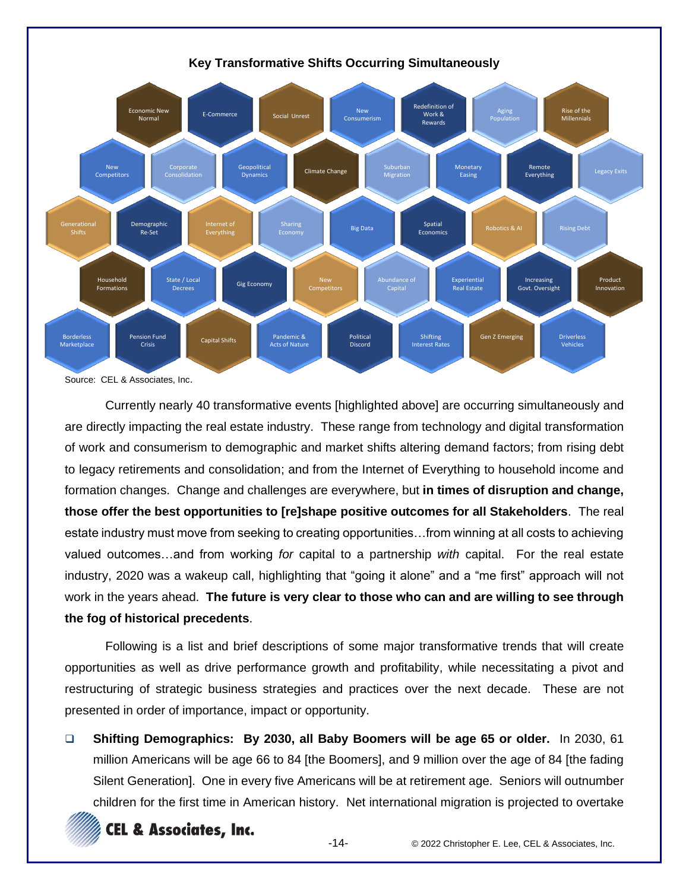

Source: CEL & Associates, Inc.

Currently nearly 40 transformative events [highlighted above] are occurring simultaneously and are directly impacting the real estate industry. These range from technology and digital transformation of work and consumerism to demographic and market shifts altering demand factors; from rising debt to legacy retirements and consolidation; and from the Internet of Everything to household income and formation changes. Change and challenges are everywhere, but **in times of disruption and change, those offer the best opportunities to [re]shape positive outcomes for all Stakeholders**. The real estate industry must move from seeking to creating opportunities…from winning at all costs to achieving valued outcomes…and from working *for* capital to a partnership *with* capital. For the real estate industry, 2020 was a wakeup call, highlighting that "going it alone" and a "me first" approach will not work in the years ahead. **The future is very clear to those who can and are willing to see through the fog of historical precedents**.

Following is a list and brief descriptions of some major transformative trends that will create opportunities as well as drive performance growth and profitability, while necessitating a pivot and restructuring of strategic business strategies and practices over the next decade. These are not presented in order of importance, impact or opportunity.

❑ **Shifting Demographics: By 2030, all Baby Boomers will be age 65 or older.** In 2030, 61 million Americans will be age 66 to 84 [the Boomers], and 9 million over the age of 84 [the fading Silent Generation]. One in every five Americans will be at retirement age. Seniors will outnumber children for the first time in American history. Net international migration is projected to overtake

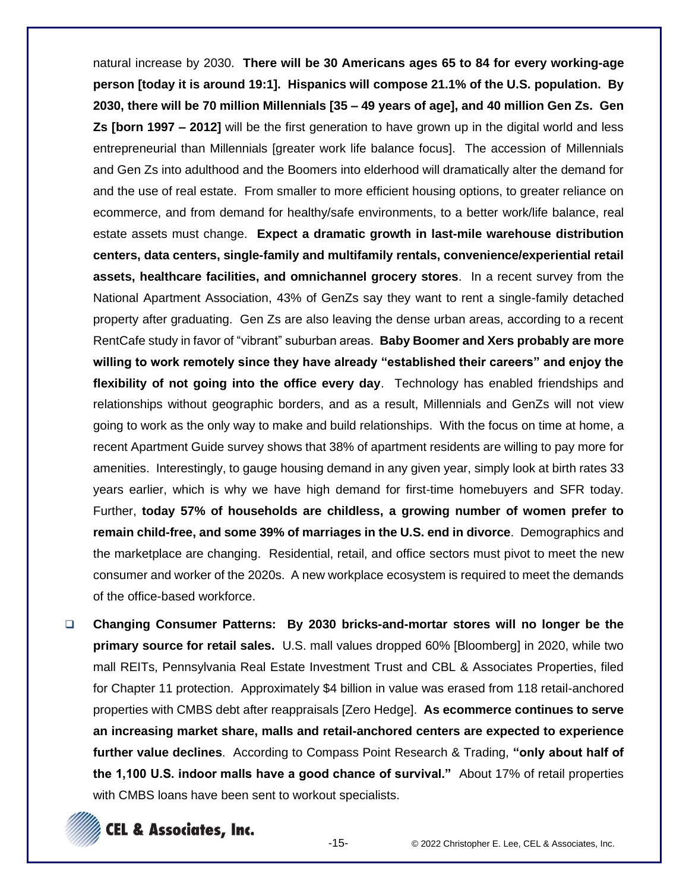natural increase by 2030. **There will be 30 Americans ages 65 to 84 for every working-age person [today it is around 19:1]. Hispanics will compose 21.1% of the U.S. population. By 2030, there will be 70 million Millennials [35 – 49 years of age], and 40 million Gen Zs. Gen Zs [born 1997 – 2012]** will be the first generation to have grown up in the digital world and less entrepreneurial than Millennials [greater work life balance focus]. The accession of Millennials and Gen Zs into adulthood and the Boomers into elderhood will dramatically alter the demand for and the use of real estate. From smaller to more efficient housing options, to greater reliance on ecommerce, and from demand for healthy/safe environments, to a better work/life balance, real estate assets must change. **Expect a dramatic growth in last-mile warehouse distribution centers, data centers, single-family and multifamily rentals, convenience/experiential retail assets, healthcare facilities, and omnichannel grocery stores**. In a recent survey from the National Apartment Association, 43% of GenZs say they want to rent a single-family detached property after graduating. Gen Zs are also leaving the dense urban areas, according to a recent RentCafe study in favor of "vibrant" suburban areas. **Baby Boomer and Xers probably are more willing to work remotely since they have already "established their careers" and enjoy the flexibility of not going into the office every day**. Technology has enabled friendships and relationships without geographic borders, and as a result, Millennials and GenZs will not view going to work as the only way to make and build relationships. With the focus on time at home, a recent Apartment Guide survey shows that 38% of apartment residents are willing to pay more for amenities. Interestingly, to gauge housing demand in any given year, simply look at birth rates 33 years earlier, which is why we have high demand for first-time homebuyers and SFR today. Further, **today 57% of households are childless, a growing number of women prefer to remain child-free, and some 39% of marriages in the U.S. end in divorce**. Demographics and the marketplace are changing. Residential, retail, and office sectors must pivot to meet the new consumer and worker of the 2020s. A new workplace ecosystem is required to meet the demands of the office-based workforce.

❑ **Changing Consumer Patterns: By 2030 bricks-and-mortar stores will no longer be the primary source for retail sales.** U.S. mall values dropped 60% [Bloomberg] in 2020, while two mall REITs, Pennsylvania Real Estate Investment Trust and CBL & Associates Properties, filed for Chapter 11 protection. Approximately \$4 billion in value was erased from 118 retail-anchored properties with CMBS debt after reappraisals [Zero Hedge]. **As ecommerce continues to serve an increasing market share, malls and retail-anchored centers are expected to experience further value declines**. According to Compass Point Research & Trading, **"only about half of the 1,100 U.S. indoor malls have a good chance of survival."** About 17% of retail properties with CMBS loans have been sent to workout specialists.

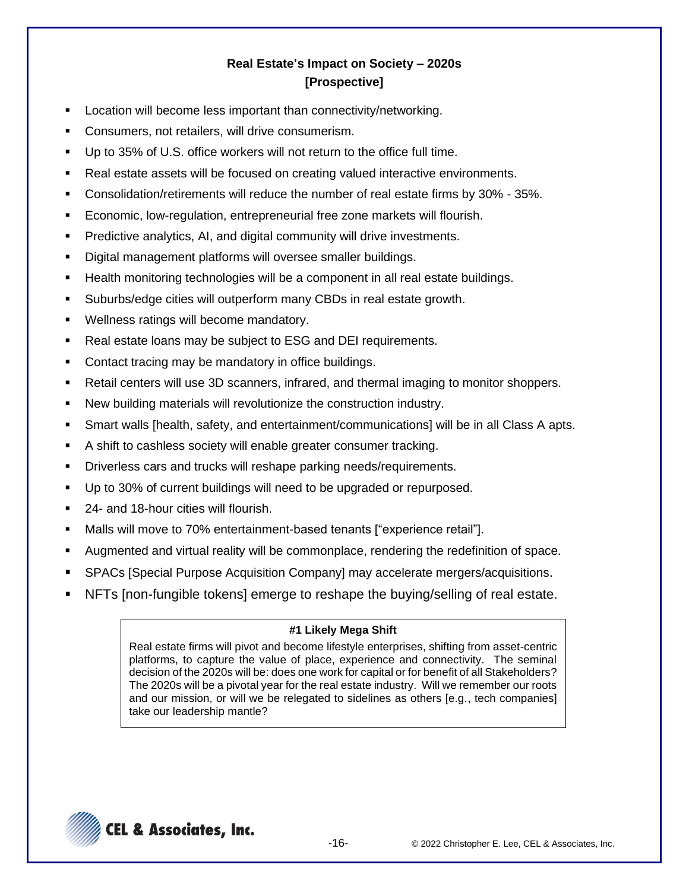# **Real Estate's Impact on Society – 2020s [Prospective]**

- Location will become less important than connectivity/networking.
- Consumers, not retailers, will drive consumerism.
- Up to 35% of U.S. office workers will not return to the office full time.
- Real estate assets will be focused on creating valued interactive environments.
- Consolidation/retirements will reduce the number of real estate firms by 30% 35%.
- Economic, low-regulation, entrepreneurial free zone markets will flourish.
- Predictive analytics, AI, and digital community will drive investments.
- Digital management platforms will oversee smaller buildings.
- Health monitoring technologies will be a component in all real estate buildings.
- Suburbs/edge cities will outperform many CBDs in real estate growth.
- Wellness ratings will become mandatory.
- Real estate loans may be subject to ESG and DEI requirements.
- Contact tracing may be mandatory in office buildings.
- Retail centers will use 3D scanners, infrared, and thermal imaging to monitor shoppers.
- New building materials will revolutionize the construction industry.
- Smart walls [health, safety, and entertainment/communications] will be in all Class A apts.
- A shift to cashless society will enable greater consumer tracking.
- Driverless cars and trucks will reshape parking needs/requirements.
- Up to 30% of current buildings will need to be upgraded or repurposed.
- 24- and 18-hour cities will flourish.
- Malls will move to 70% entertainment-based tenants ["experience retail"].
- Augmented and virtual reality will be commonplace, rendering the redefinition of space.
- SPACs [Special Purpose Acquisition Company] may accelerate mergers/acquisitions.
- NFTs [non-fungible tokens] emerge to reshape the buying/selling of real estate.

#### **#1 Likely Mega Shift**

Real estate firms will pivot and become lifestyle enterprises, shifting from asset-centric platforms, to capture the value of place, experience and connectivity. The seminal decision of the 2020s will be: does one work for capital or for benefit of all Stakeholders? The 2020s will be a pivotal year for the real estate industry. Will we remember our roots and our mission, or will we be relegated to sidelines as others [e.g., tech companies] take our leadership mantle?

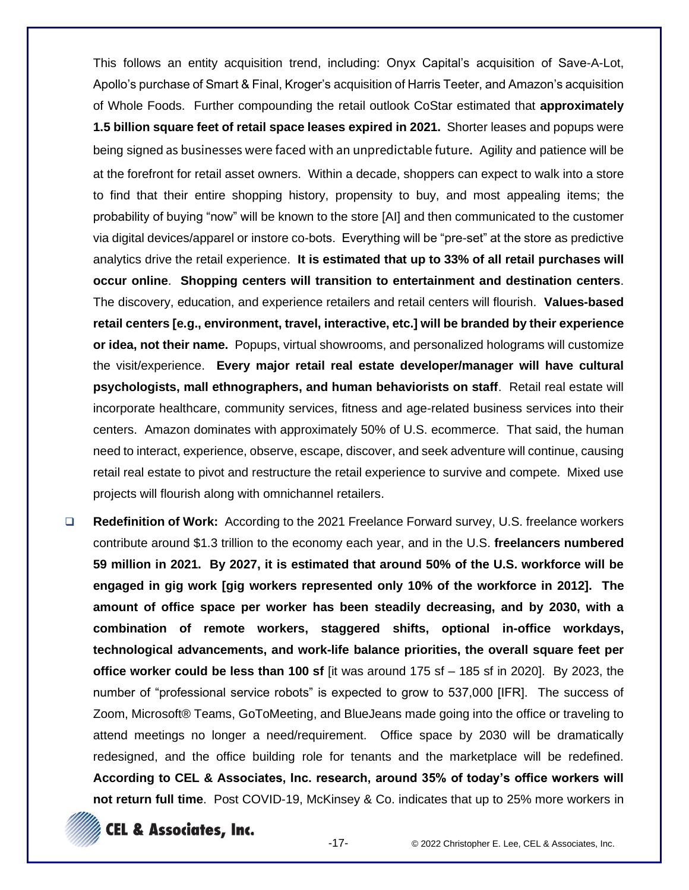This follows an entity acquisition trend, including: Onyx Capital's acquisition of Save-A-Lot, Apollo's purchase of Smart & Final, Kroger's acquisition of Harris Teeter, and Amazon's acquisition of Whole Foods. Further compounding the retail outlook CoStar estimated that **approximately 1.5 billion square feet of retail space leases expired in 2021.** Shorter leases and popups were being signed as businesses were faced with an unpredictable future. Agility and patience will be at the forefront for retail asset owners. Within a decade, shoppers can expect to walk into a store to find that their entire shopping history, propensity to buy, and most appealing items; the probability of buying "now" will be known to the store [AI] and then communicated to the customer via digital devices/apparel or instore co-bots. Everything will be "pre-set" at the store as predictive analytics drive the retail experience. **It is estimated that up to 33% of all retail purchases will occur online**. **Shopping centers will transition to entertainment and destination centers**. The discovery, education, and experience retailers and retail centers will flourish. **Values-based retail centers [e.g., environment, travel, interactive, etc.] will be branded by their experience or idea, not their name.** Popups, virtual showrooms, and personalized holograms will customize the visit/experience. **Every major retail real estate developer/manager will have cultural psychologists, mall ethnographers, and human behaviorists on staff**. Retail real estate will incorporate healthcare, community services, fitness and age-related business services into their centers. Amazon dominates with approximately 50% of U.S. ecommerce. That said, the human need to interact, experience, observe, escape, discover, and seek adventure will continue, causing retail real estate to pivot and restructure the retail experience to survive and compete. Mixed use projects will flourish along with omnichannel retailers.

❑ **Redefinition of Work:** According to the 2021 Freelance Forward survey, U.S. freelance workers contribute around \$1.3 trillion to the economy each year, and in the U.S. **freelancers numbered 59 million in 2021. By 2027, it is estimated that around 50% of the U.S. workforce will be engaged in gig work [gig workers represented only 10% of the workforce in 2012]. The amount of office space per worker has been steadily decreasing, and by 2030, with a combination of remote workers, staggered shifts, optional in-office workdays, technological advancements, and work-life balance priorities, the overall square feet per office worker could be less than 100 sf** [it was around 175 sf – 185 sf in 2020]. By 2023, the number of "professional service robots" is expected to grow to 537,000 [IFR]. The success of Zoom, Microsoft® Teams, GoToMeeting, and BlueJeans made going into the office or traveling to attend meetings no longer a need/requirement. Office space by 2030 will be dramatically redesigned, and the office building role for tenants and the marketplace will be redefined. **According to CEL & Associates, Inc. research, around 35% of today's office workers will not return full time**. Post COVID-19, McKinsey & Co. indicates that up to 25% more workers in

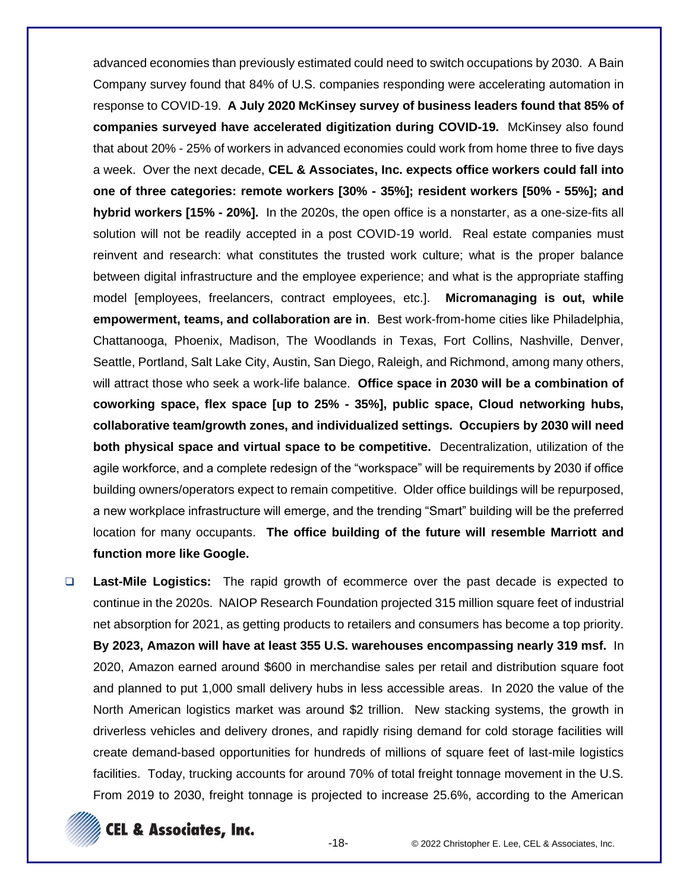advanced economies than previously estimated could need to switch occupations by 2030. A Bain Company survey found that 84% of U.S. companies responding were accelerating automation in response to COVID-19. **A July 2020 McKinsey survey of business leaders found that 85% of companies surveyed have accelerated digitization during COVID-19.** McKinsey also found that about 20% - 25% of workers in advanced economies could work from home three to five days a week. Over the next decade, **CEL & Associates, Inc. expects office workers could fall into one of three categories: remote workers [30% - 35%]; resident workers [50% - 55%]; and hybrid workers [15% - 20%].** In the 2020s, the open office is a nonstarter, as a one-size-fits all solution will not be readily accepted in a post COVID-19 world. Real estate companies must reinvent and research: what constitutes the trusted work culture; what is the proper balance between digital infrastructure and the employee experience; and what is the appropriate staffing model [employees, freelancers, contract employees, etc.]. **Micromanaging is out, while empowerment, teams, and collaboration are in**. Best work-from-home cities like Philadelphia, Chattanooga, Phoenix, Madison, The Woodlands in Texas, Fort Collins, Nashville, Denver, Seattle, Portland, Salt Lake City, Austin, San Diego, Raleigh, and Richmond, among many others, will attract those who seek a work-life balance. **Office space in 2030 will be a combination of coworking space, flex space [up to 25% - 35%], public space, Cloud networking hubs, collaborative team/growth zones, and individualized settings. Occupiers by 2030 will need both physical space and virtual space to be competitive.** Decentralization, utilization of the agile workforce, and a complete redesign of the "workspace" will be requirements by 2030 if office building owners/operators expect to remain competitive. Older office buildings will be repurposed, a new workplace infrastructure will emerge, and the trending "Smart" building will be the preferred location for many occupants. **The office building of the future will resemble Marriott and function more like Google.**

❑ **Last-Mile Logistics:** The rapid growth of ecommerce over the past decade is expected to continue in the 2020s. NAIOP Research Foundation projected 315 million square feet of industrial net absorption for 2021, as getting products to retailers and consumers has become a top priority. **By 2023, Amazon will have at least 355 U.S. warehouses encompassing nearly 319 msf.** In 2020, Amazon earned around \$600 in merchandise sales per retail and distribution square foot and planned to put 1,000 small delivery hubs in less accessible areas. In 2020 the value of the North American logistics market was around \$2 trillion. New stacking systems, the growth in driverless vehicles and delivery drones, and rapidly rising demand for cold storage facilities will create demand-based opportunities for hundreds of millions of square feet of last-mile logistics facilities. Today, trucking accounts for around 70% of total freight tonnage movement in the U.S. From 2019 to 2030, freight tonnage is projected to increase 25.6%, according to the American

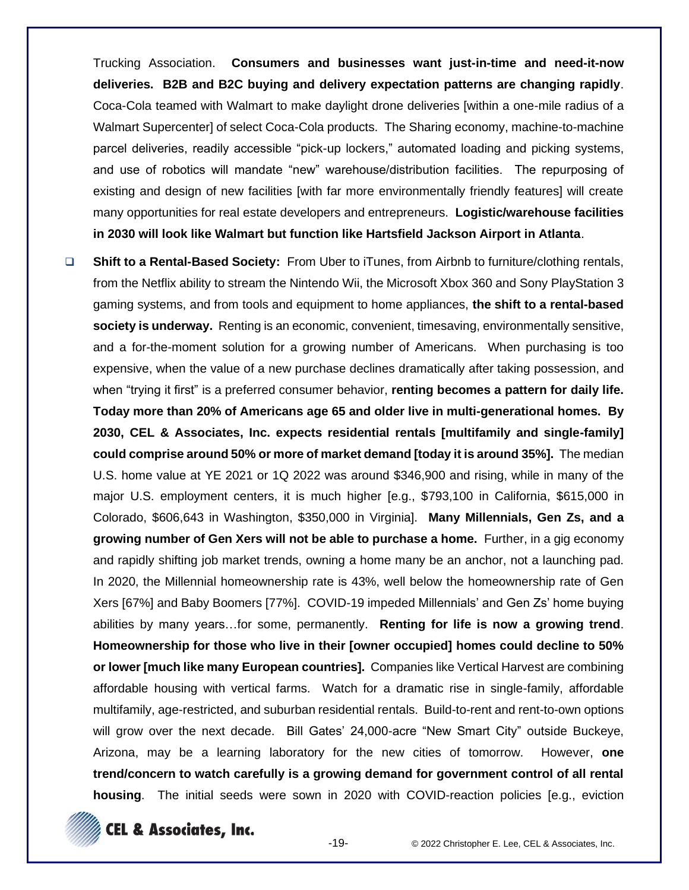Trucking Association. **Consumers and businesses want just-in-time and need-it-now deliveries. B2B and B2C buying and delivery expectation patterns are changing rapidly**. Coca-Cola teamed with Walmart to make daylight drone deliveries [within a one-mile radius of a Walmart Supercenter] of select Coca-Cola products. The Sharing economy, machine-to-machine parcel deliveries, readily accessible "pick-up lockers," automated loading and picking systems, and use of robotics will mandate "new" warehouse/distribution facilities. The repurposing of existing and design of new facilities [with far more environmentally friendly features] will create many opportunities for real estate developers and entrepreneurs. **Logistic/warehouse facilities in 2030 will look like Walmart but function like Hartsfield Jackson Airport in Atlanta**.

❑ **Shift to a Rental-Based Society:** From Uber to iTunes, from Airbnb to furniture/clothing rentals, from the Netflix ability to stream the Nintendo Wii, the Microsoft Xbox 360 and Sony PlayStation 3 gaming systems, and from tools and equipment to home appliances, **the shift to a rental-based society is underway.** Renting is an economic, convenient, timesaving, environmentally sensitive, and a for-the-moment solution for a growing number of Americans. When purchasing is too expensive, when the value of a new purchase declines dramatically after taking possession, and when "trying it first" is a preferred consumer behavior, **renting becomes a pattern for daily life. Today more than 20% of Americans age 65 and older live in multi-generational homes. By 2030, CEL & Associates, Inc. expects residential rentals [multifamily and single-family] could comprise around 50% or more of market demand [today it is around 35%].** The median U.S. home value at YE 2021 or 1Q 2022 was around \$346,900 and rising, while in many of the major U.S. employment centers, it is much higher [e.g., \$793,100 in California, \$615,000 in Colorado, \$606,643 in Washington, \$350,000 in Virginia]. **Many Millennials, Gen Zs, and a growing number of Gen Xers will not be able to purchase a home.** Further, in a gig economy and rapidly shifting job market trends, owning a home many be an anchor, not a launching pad. In 2020, the Millennial homeownership rate is 43%, well below the homeownership rate of Gen Xers [67%] and Baby Boomers [77%]. COVID-19 impeded Millennials' and Gen Zs' home buying abilities by many years…for some, permanently. **Renting for life is now a growing trend**. **Homeownership for those who live in their [owner occupied] homes could decline to 50% or lower [much like many European countries].** Companies like Vertical Harvest are combining affordable housing with vertical farms. Watch for a dramatic rise in single-family, affordable multifamily, age-restricted, and suburban residential rentals. Build-to-rent and rent-to-own options will grow over the next decade. Bill Gates' 24,000-acre "New Smart City" outside Buckeye, Arizona, may be a learning laboratory for the new cities of tomorrow. However, **one trend/concern to watch carefully is a growing demand for government control of all rental housing**. The initial seeds were sown in 2020 with COVID-reaction policies [e.g., eviction

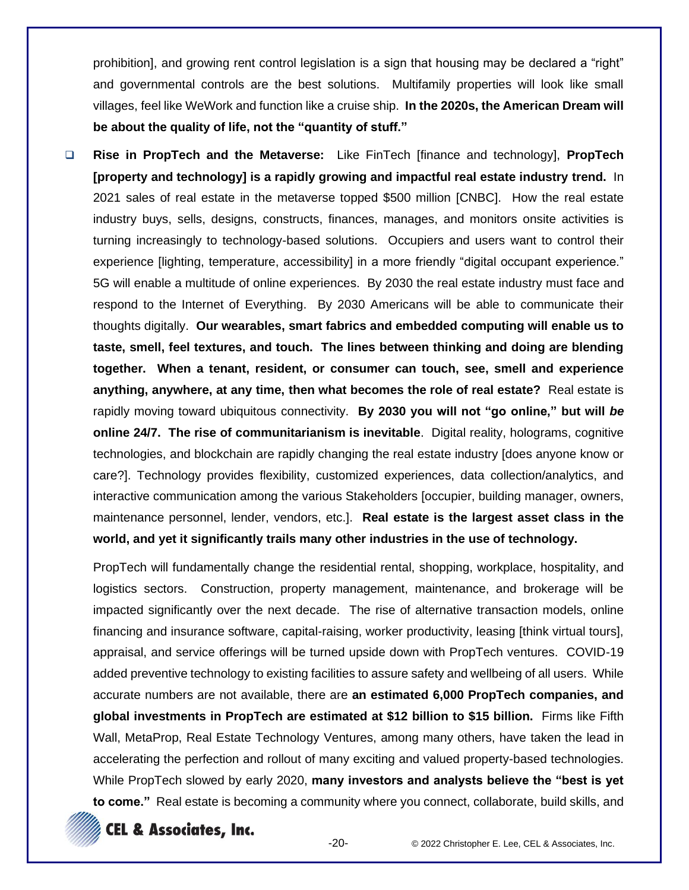prohibition], and growing rent control legislation is a sign that housing may be declared a "right" and governmental controls are the best solutions. Multifamily properties will look like small villages, feel like WeWork and function like a cruise ship. **In the 2020s, the American Dream will be about the quality of life, not the "quantity of stuff."**

❑ **Rise in PropTech and the Metaverse:** Like FinTech [finance and technology], **PropTech [property and technology] is a rapidly growing and impactful real estate industry trend.** In 2021 sales of real estate in the metaverse topped \$500 million [CNBC]. How the real estate industry buys, sells, designs, constructs, finances, manages, and monitors onsite activities is turning increasingly to technology-based solutions. Occupiers and users want to control their experience [lighting, temperature, accessibility] in a more friendly "digital occupant experience." 5G will enable a multitude of online experiences. By 2030 the real estate industry must face and respond to the Internet of Everything. By 2030 Americans will be able to communicate their thoughts digitally. **Our wearables, smart fabrics and embedded computing will enable us to taste, smell, feel textures, and touch. The lines between thinking and doing are blending together. When a tenant, resident, or consumer can touch, see, smell and experience anything, anywhere, at any time, then what becomes the role of real estate?** Real estate is rapidly moving toward ubiquitous connectivity. **By 2030 you will not "go online," but will** *be* **online 24/7. The rise of communitarianism is inevitable**. Digital reality, holograms, cognitive technologies, and blockchain are rapidly changing the real estate industry [does anyone know or care?]. Technology provides flexibility, customized experiences, data collection/analytics, and interactive communication among the various Stakeholders [occupier, building manager, owners, maintenance personnel, lender, vendors, etc.]. **Real estate is the largest asset class in the world, and yet it significantly trails many other industries in the use of technology.**

PropTech will fundamentally change the residential rental, shopping, workplace, hospitality, and logistics sectors. Construction, property management, maintenance, and brokerage will be impacted significantly over the next decade. The rise of alternative transaction models, online financing and insurance software, capital-raising, worker productivity, leasing [think virtual tours], appraisal, and service offerings will be turned upside down with PropTech ventures. COVID-19 added preventive technology to existing facilities to assure safety and wellbeing of all users. While accurate numbers are not available, there are **an estimated 6,000 PropTech companies, and global investments in PropTech are estimated at \$12 billion to \$15 billion.** Firms like Fifth Wall, MetaProp, Real Estate Technology Ventures, among many others, have taken the lead in accelerating the perfection and rollout of many exciting and valued property-based technologies. While PropTech slowed by early 2020, **many investors and analysts believe the "best is yet to come."** Real estate is becoming a community where you connect, collaborate, build skills, and



**EL & Associates, Inc.**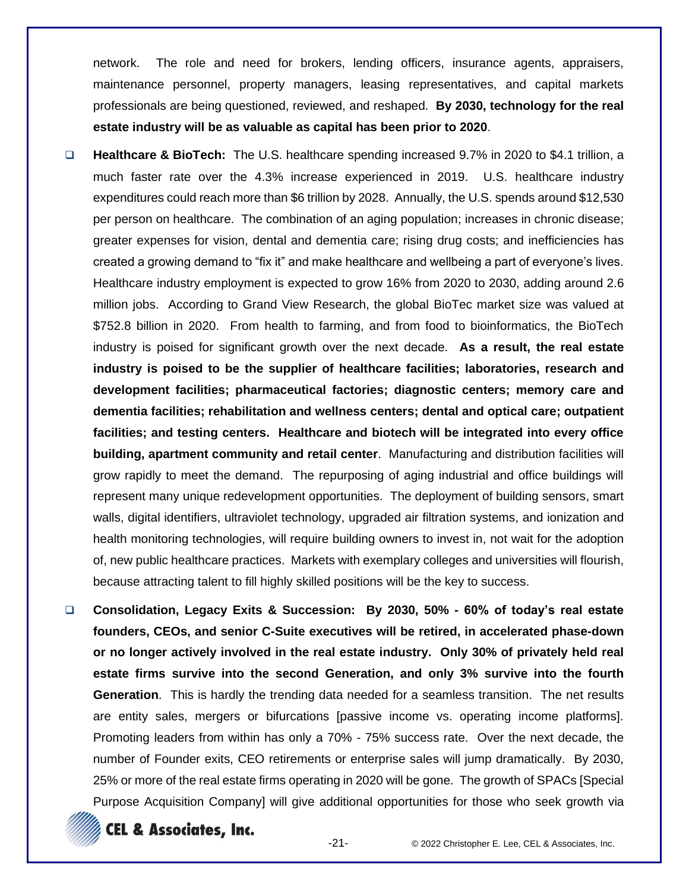network. The role and need for brokers, lending officers, insurance agents, appraisers, maintenance personnel, property managers, leasing representatives, and capital markets professionals are being questioned, reviewed, and reshaped. **By 2030, technology for the real estate industry will be as valuable as capital has been prior to 2020**.

- ❑ **Healthcare & BioTech:** The U.S. healthcare spending increased 9.7% in 2020 to \$4.1 trillion, a much faster rate over the 4.3% increase experienced in 2019. U.S. healthcare industry expenditures could reach more than \$6 trillion by 2028. Annually, the U.S. spends around \$12,530 per person on healthcare. The combination of an aging population; increases in chronic disease; greater expenses for vision, dental and dementia care; rising drug costs; and inefficiencies has created a growing demand to "fix it" and make healthcare and wellbeing a part of everyone's lives. Healthcare industry employment is expected to grow 16% from 2020 to 2030, adding around 2.6 million jobs. According to Grand View Research, the global BioTec market size was valued at \$752.8 billion in 2020. From health to farming, and from food to bioinformatics, the BioTech industry is poised for significant growth over the next decade. **As a result, the real estate industry is poised to be the supplier of healthcare facilities; laboratories, research and development facilities; pharmaceutical factories; diagnostic centers; memory care and dementia facilities; rehabilitation and wellness centers; dental and optical care; outpatient facilities; and testing centers. Healthcare and biotech will be integrated into every office building, apartment community and retail center**. Manufacturing and distribution facilities will grow rapidly to meet the demand. The repurposing of aging industrial and office buildings will represent many unique redevelopment opportunities. The deployment of building sensors, smart walls, digital identifiers, ultraviolet technology, upgraded air filtration systems, and ionization and health monitoring technologies, will require building owners to invest in, not wait for the adoption of, new public healthcare practices. Markets with exemplary colleges and universities will flourish, because attracting talent to fill highly skilled positions will be the key to success.
- ❑ **Consolidation, Legacy Exits & Succession: By 2030, 50% - 60% of today's real estate founders, CEOs, and senior C-Suite executives will be retired, in accelerated phase-down or no longer actively involved in the real estate industry. Only 30% of privately held real estate firms survive into the second Generation, and only 3% survive into the fourth Generation**. This is hardly the trending data needed for a seamless transition. The net results are entity sales, mergers or bifurcations [passive income vs. operating income platforms]. Promoting leaders from within has only a 70% - 75% success rate. Over the next decade, the number of Founder exits, CEO retirements or enterprise sales will jump dramatically. By 2030, 25% or more of the real estate firms operating in 2020 will be gone. The growth of SPACs [Special Purpose Acquisition Company] will give additional opportunities for those who seek growth via



**CEL & Associates, Inc.**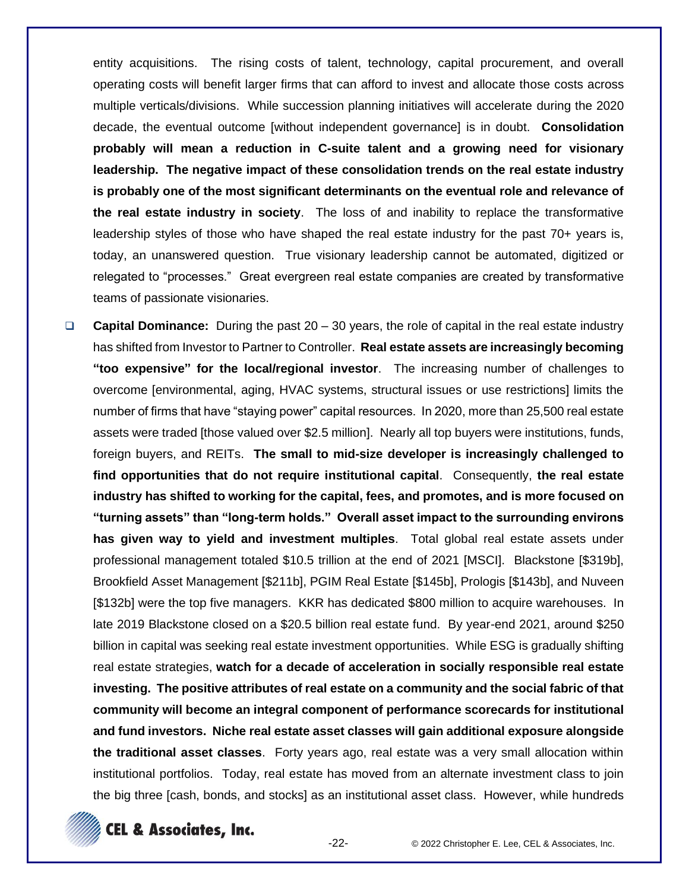entity acquisitions. The rising costs of talent, technology, capital procurement, and overall operating costs will benefit larger firms that can afford to invest and allocate those costs across multiple verticals/divisions. While succession planning initiatives will accelerate during the 2020 decade, the eventual outcome [without independent governance] is in doubt. **Consolidation probably will mean a reduction in C-suite talent and a growing need for visionary leadership. The negative impact of these consolidation trends on the real estate industry is probably one of the most significant determinants on the eventual role and relevance of the real estate industry in society**. The loss of and inability to replace the transformative leadership styles of those who have shaped the real estate industry for the past 70+ years is, today, an unanswered question. True visionary leadership cannot be automated, digitized or relegated to "processes." Great evergreen real estate companies are created by transformative teams of passionate visionaries.

❑ **Capital Dominance:** During the past 20 – 30 years, the role of capital in the real estate industry has shifted from Investor to Partner to Controller. **Real estate assets are increasingly becoming "too expensive" for the local/regional investor**. The increasing number of challenges to overcome [environmental, aging, HVAC systems, structural issues or use restrictions] limits the number of firms that have "staying power" capital resources. In 2020, more than 25,500 real estate assets were traded [those valued over \$2.5 million]. Nearly all top buyers were institutions, funds, foreign buyers, and REITs. **The small to mid-size developer is increasingly challenged to find opportunities that do not require institutional capital**. Consequently, **the real estate industry has shifted to working for the capital, fees, and promotes, and is more focused on "turning assets" than "long-term holds." Overall asset impact to the surrounding environs has given way to yield and investment multiples**. Total global real estate assets under professional management totaled \$10.5 trillion at the end of 2021 [MSCI]. Blackstone [\$319b], Brookfield Asset Management [\$211b], PGIM Real Estate [\$145b], Prologis [\$143b], and Nuveen [\$132b] were the top five managers. KKR has dedicated \$800 million to acquire warehouses. In late 2019 Blackstone closed on a \$20.5 billion real estate fund. By year-end 2021, around \$250 billion in capital was seeking real estate investment opportunities. While ESG is gradually shifting real estate strategies, **watch for a decade of acceleration in socially responsible real estate investing. The positive attributes of real estate on a community and the social fabric of that community will become an integral component of performance scorecards for institutional and fund investors. Niche real estate asset classes will gain additional exposure alongside the traditional asset classes**. Forty years ago, real estate was a very small allocation within institutional portfolios. Today, real estate has moved from an alternate investment class to join the big three [cash, bonds, and stocks] as an institutional asset class. However, while hundreds

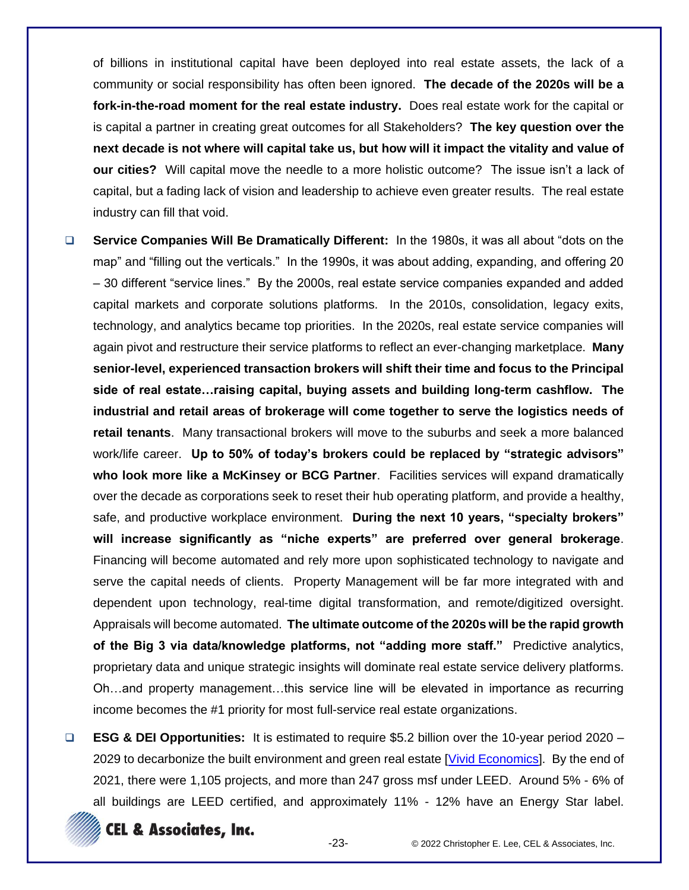of billions in institutional capital have been deployed into real estate assets, the lack of a community or social responsibility has often been ignored. **The decade of the 2020s will be a fork-in-the-road moment for the real estate industry.** Does real estate work for the capital or is capital a partner in creating great outcomes for all Stakeholders? **The key question over the next decade is not where will capital take us, but how will it impact the vitality and value of our cities?** Will capital move the needle to a more holistic outcome? The issue isn't a lack of capital, but a fading lack of vision and leadership to achieve even greater results. The real estate industry can fill that void.

❑ **Service Companies Will Be Dramatically Different:** In the 1980s, it was all about "dots on the map" and "filling out the verticals." In the 1990s, it was about adding, expanding, and offering 20 – 30 different "service lines." By the 2000s, real estate service companies expanded and added capital markets and corporate solutions platforms. In the 2010s, consolidation, legacy exits, technology, and analytics became top priorities. In the 2020s, real estate service companies will again pivot and restructure their service platforms to reflect an ever-changing marketplace. **Many senior-level, experienced transaction brokers will shift their time and focus to the Principal side of real estate…raising capital, buying assets and building long-term cashflow. The industrial and retail areas of brokerage will come together to serve the logistics needs of retail tenants**. Many transactional brokers will move to the suburbs and seek a more balanced work/life career. **Up to 50% of today's brokers could be replaced by "strategic advisors" who look more like a McKinsey or BCG Partner**. Facilities services will expand dramatically over the decade as corporations seek to reset their hub operating platform, and provide a healthy, safe, and productive workplace environment. **During the next 10 years, "specialty brokers" will increase significantly as "niche experts" are preferred over general brokerage**. Financing will become automated and rely more upon sophisticated technology to navigate and serve the capital needs of clients. Property Management will be far more integrated with and dependent upon technology, real-time digital transformation, and remote/digitized oversight. Appraisals will become automated. **The ultimate outcome of the 2020s will be the rapid growth of the Big 3 via data/knowledge platforms, not "adding more staff."** Predictive analytics, proprietary data and unique strategic insights will dominate real estate service delivery platforms. Oh…and property management…this service line will be elevated in importance as recurring income becomes the #1 priority for most full-service real estate organizations.

❑ **ESG & DEI Opportunities:** It is estimated to require \$5.2 billion over the 10-year period 2020 – 2029 to decarbonize the built environment and green real estate [\[Vivid Economics\]](https://www.vivideconomics.com/). By the end of 2021, there were 1,105 projects, and more than 247 gross msf under LEED. Around 5% - 6% of all buildings are LEED certified, and approximately 11% - 12% have an Energy Star label.



**CEL & Associates, Inc.**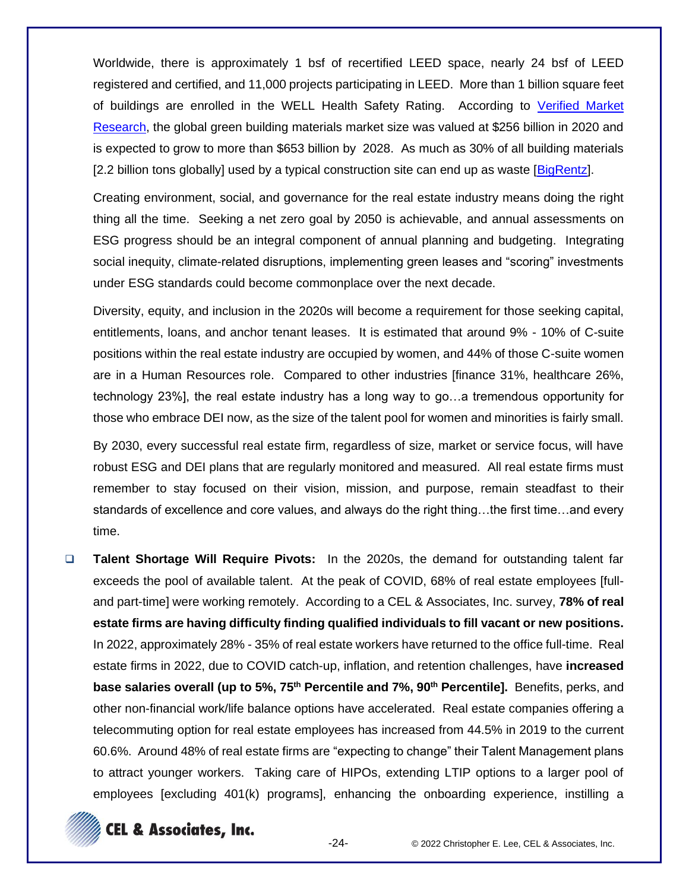Worldwide, there is approximately 1 bsf of recertified LEED space, nearly 24 bsf of LEED registered and certified, and 11,000 projects participating in LEED. More than 1 billion square feet of buildings are enrolled in the WELL Health Safety Rating. According to [Verified Market](https://www.researchandmarkets.com/s/verified-market-research?gclid=Cj0KCQjwgMqSBhDCARIsAIIVN1Vy8V-Hk8RkRruKRswmiNtj3Lim4bGpnXwLZgzjrwkCJZ8LFaaVXfwaAsWWEALw_wcB)  [Research,](https://www.researchandmarkets.com/s/verified-market-research?gclid=Cj0KCQjwgMqSBhDCARIsAIIVN1Vy8V-Hk8RkRruKRswmiNtj3Lim4bGpnXwLZgzjrwkCJZ8LFaaVXfwaAsWWEALw_wcB) the global green building materials market size was valued at \$256 billion in 2020 and is expected to grow to more than \$653 billion by 2028. As much as 30% of all building materials [2.2 billion tons globally] used by a typical construction site can end up as waste [\[BigRentz\]](https://www.bigrentz.com/?utm_source=Google&utm_medium=Adwords&utm_campaign=%2AKB-Branded-BigRentz&adgroup=66928282793&keyword=big%20rentz&location&geo=9061089&lid=t0IZ13Qzv6&gclid=Cj0KCQjwgMqSBhDCARIsAIIVN1VZp2zJMr3o6aPxFABqKjeHIdQO_wxI0IJQfH88KF5SFWYIuuRdcesaAjGbEALw_wcB).

Creating environment, social, and governance for the real estate industry means doing the right thing all the time. Seeking a net zero goal by 2050 is achievable, and annual assessments on ESG progress should be an integral component of annual planning and budgeting. Integrating social inequity, climate-related disruptions, implementing green leases and "scoring" investments under ESG standards could become commonplace over the next decade.

Diversity, equity, and inclusion in the 2020s will become a requirement for those seeking capital, entitlements, loans, and anchor tenant leases. It is estimated that around 9% - 10% of C-suite positions within the real estate industry are occupied by women, and 44% of those C-suite women are in a Human Resources role. Compared to other industries [finance 31%, healthcare 26%, technology 23%], the real estate industry has a long way to go…a tremendous opportunity for those who embrace DEI now, as the size of the talent pool for women and minorities is fairly small.

By 2030, every successful real estate firm, regardless of size, market or service focus, will have robust ESG and DEI plans that are regularly monitored and measured. All real estate firms must remember to stay focused on their vision, mission, and purpose, remain steadfast to their standards of excellence and core values, and always do the right thing…the first time…and every time.

❑ **Talent Shortage Will Require Pivots:** In the 2020s, the demand for outstanding talent far exceeds the pool of available talent. At the peak of COVID, 68% of real estate employees [fulland part-time] were working remotely. According to a CEL & Associates, Inc. survey, **78% of real estate firms are having difficulty finding qualified individuals to fill vacant or new positions.** In 2022, approximately 28% - 35% of real estate workers have returned to the office full-time. Real estate firms in 2022, due to COVID catch-up, inflation, and retention challenges, have **increased base salaries overall (up to 5%, 75th Percentile and 7%, 90th Percentile].** Benefits, perks, and other non-financial work/life balance options have accelerated. Real estate companies offering a telecommuting option for real estate employees has increased from 44.5% in 2019 to the current 60.6%. Around 48% of real estate firms are "expecting to change" their Talent Management plans to attract younger workers. Taking care of HIPOs, extending LTIP options to a larger pool of employees [excluding 401(k) programs], enhancing the onboarding experience, instilling a

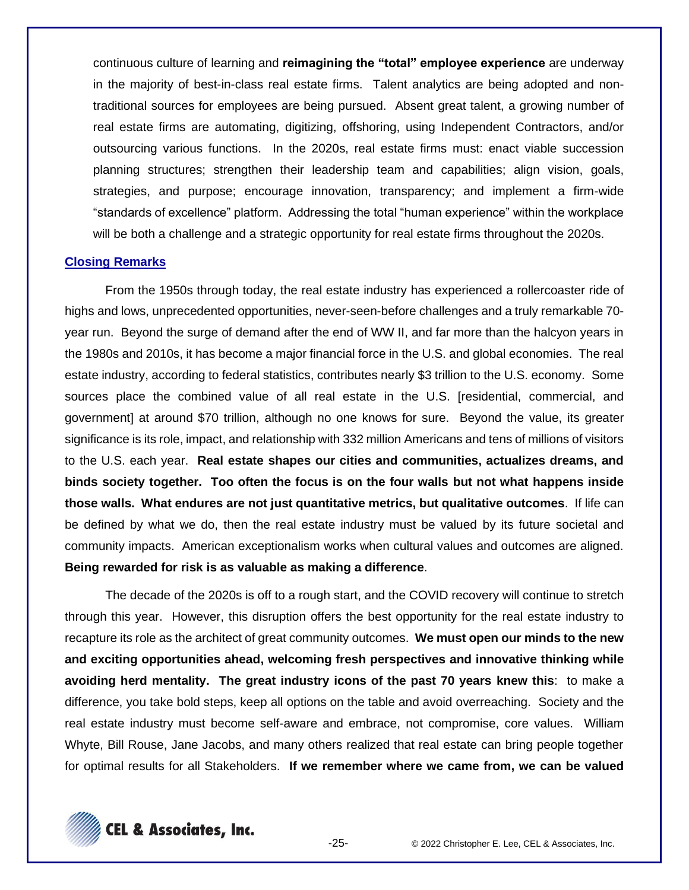continuous culture of learning and **reimagining the "total" employee experience** are underway in the majority of best-in-class real estate firms. Talent analytics are being adopted and nontraditional sources for employees are being pursued. Absent great talent, a growing number of real estate firms are automating, digitizing, offshoring, using Independent Contractors, and/or outsourcing various functions. In the 2020s, real estate firms must: enact viable succession planning structures; strengthen their leadership team and capabilities; align vision, goals, strategies, and purpose; encourage innovation, transparency; and implement a firm-wide "standards of excellence" platform. Addressing the total "human experience" within the workplace will be both a challenge and a strategic opportunity for real estate firms throughout the 2020s.

#### **Closing Remarks**

From the 1950s through today, the real estate industry has experienced a rollercoaster ride of highs and lows, unprecedented opportunities, never-seen-before challenges and a truly remarkable 70 year run. Beyond the surge of demand after the end of WW II, and far more than the halcyon years in the 1980s and 2010s, it has become a major financial force in the U.S. and global economies. The real estate industry, according to federal statistics, contributes nearly \$3 trillion to the U.S. economy. Some sources place the combined value of all real estate in the U.S. [residential, commercial, and government] at around \$70 trillion, although no one knows for sure. Beyond the value, its greater significance is its role, impact, and relationship with 332 million Americans and tens of millions of visitors to the U.S. each year. **Real estate shapes our cities and communities, actualizes dreams, and binds society together. Too often the focus is on the four walls but not what happens inside those walls. What endures are not just quantitative metrics, but qualitative outcomes**. If life can be defined by what we do, then the real estate industry must be valued by its future societal and community impacts. American exceptionalism works when cultural values and outcomes are aligned. **Being rewarded for risk is as valuable as making a difference**.

The decade of the 2020s is off to a rough start, and the COVID recovery will continue to stretch through this year. However, this disruption offers the best opportunity for the real estate industry to recapture its role as the architect of great community outcomes. **We must open our minds to the new and exciting opportunities ahead, welcoming fresh perspectives and innovative thinking while avoiding herd mentality. The great industry icons of the past 70 years knew this**: to make a difference, you take bold steps, keep all options on the table and avoid overreaching. Society and the real estate industry must become self-aware and embrace, not compromise, core values. William Whyte, Bill Rouse, Jane Jacobs, and many others realized that real estate can bring people together for optimal results for all Stakeholders. **If we remember where we came from, we can be valued** 

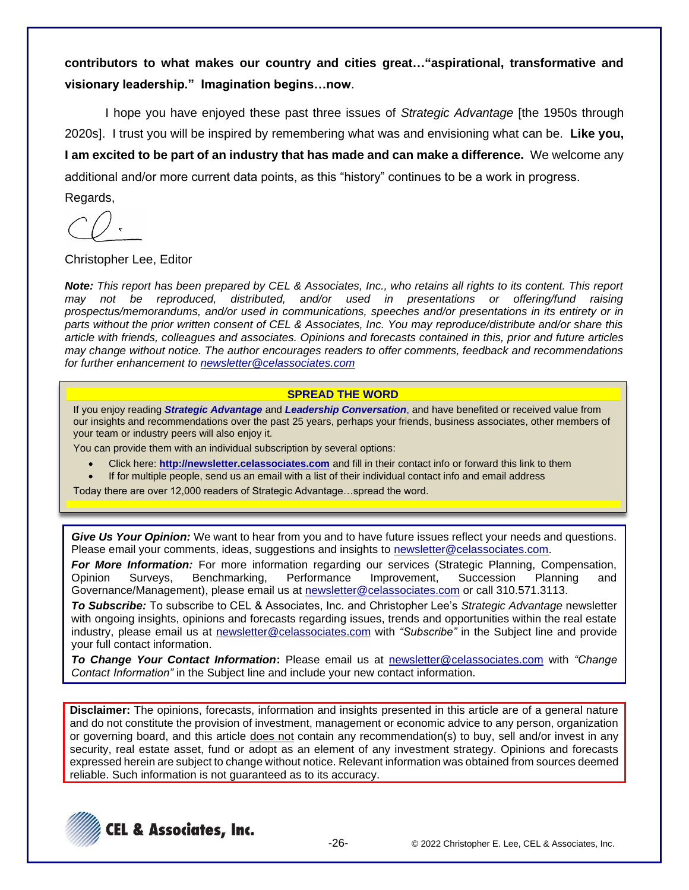**contributors to what makes our country and cities great…"aspirational, transformative and visionary leadership." Imagination begins…now**.

I hope you have enjoyed these past three issues of *Strategic Advantage* [the 1950s through 2020s]. I trust you will be inspired by remembering what was and envisioning what can be. **Like you, I am excited to be part of an industry that has made and can make a difference.** We welcome any additional and/or more current data points, as this "history" continues to be a work in progress. Regards,

Christopher Lee, Editor

*Note: This report has been prepared by CEL & Associates, Inc., who retains all rights to its content. This report may not be reproduced, distributed, and/or used in presentations or offering/fund raising prospectus/memorandums, and/or used in communications, speeches and/or presentations in its entirety or in parts without the prior written consent of CEL & Associates, Inc. You may reproduce/distribute and/or share this article with friends, colleagues and associates. Opinions and forecasts contained in this, prior and future articles may change without notice. The author encourages readers to offer comments, feedback and recommendations for further enhancement to [newsletter@celassociates.com](mailto:newsletter@celassociates.com)*

#### **SPREAD THE WORD**

If you enjoy reading *Strategic Advantage* and *Leadership Conversation*, and have benefited or received value from our insights and recommendations over the past 25 years, perhaps your friends, business associates, other members of your team or industry peers will also enjoy it.

You can provide them with an individual subscription by several options:

- Click here: **http://newsletter.celassociates.com** and fill in their contact info or forward this link to them
- If for multiple people, send us an email with a list of their individual contact info and email address

Today there are over 12,000 readers of Strategic Advantage…spread the word.

*Give Us Your Opinion:* We want to hear from you and to have future issues reflect your needs and questions. Please email your comments, ideas, suggestions and insights to newsletter@celassociates.com.

*For More Information:* For more information regarding our services (Strategic Planning, Compensation, Opinion Surveys, Benchmarking, Performance Improvement, Succession Planning and Governance/Management), please email us at newsletter@celassociates.com or call 310.571.3113.

*To Subscribe:* To subscribe to CEL & Associates, Inc. and Christopher Lee's *Strategic Advantage* newsletter with ongoing insights, opinions and forecasts regarding issues, trends and opportunities within the real estate industry, please email us at newsletter@celassociates.com with *"Subscribe"* in the Subject line and provide your full contact information.

*To Change Your Contact Information***:** Please email us at newsletter@celassociates.com with *"Change Contact Information"* in the Subject line and include your new contact information.

**Disclaimer:** The opinions, forecasts, information and insights presented in this article are of a general nature and do not constitute the provision of investment, management or economic advice to any person, organization or governing board, and this article does not contain any recommendation(s) to buy, sell and/or invest in any security, real estate asset, fund or adopt as an element of any investment strategy. Opinions and forecasts expressed herein are subject to change without notice. Relevant information was obtained from sources deemed reliable. Such information is not guaranteed as to its accuracy.

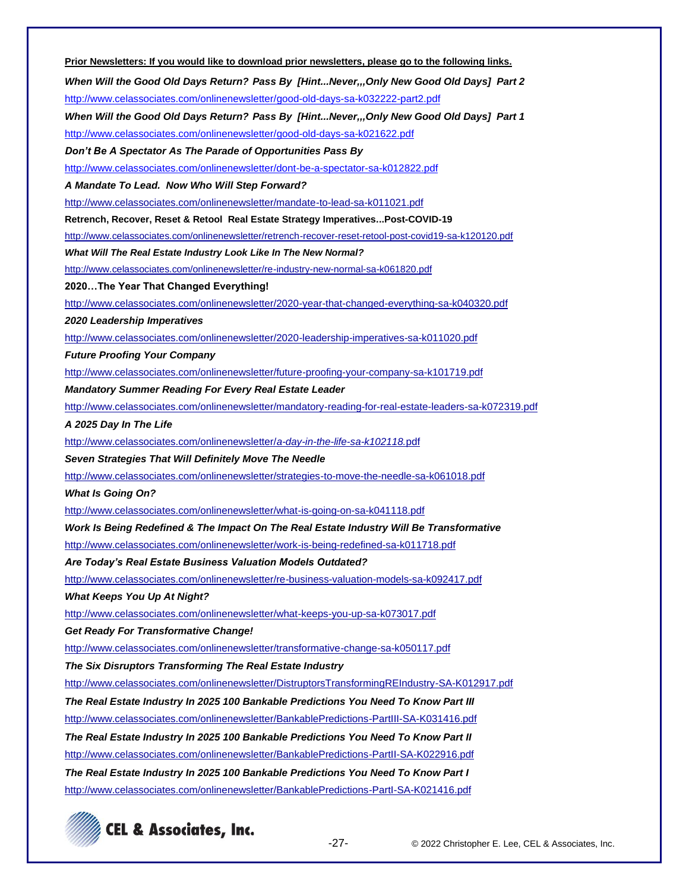| Prior Newsletters: If you would like to download prior newsletters, please go to the following links.   |  |  |
|---------------------------------------------------------------------------------------------------------|--|--|
| When Will the Good Old Days Return? Pass By [HintNever,,,Only New Good Old Days] Part 2                 |  |  |
| http://www.celassociates.com/onlinenewsletter/good-old-days-sa-k032222-part2.pdf                        |  |  |
| When Will the Good Old Days Return? Pass By [HintNever,,,Only New Good Old Days] Part 1                 |  |  |
| http://www.celassociates.com/onlinenewsletter/good-old-days-sa-k021622.pdf                              |  |  |
| Don't Be A Spectator As The Parade of Opportunities Pass By                                             |  |  |
| http://www.celassociates.com/onlinenewsletter/dont-be-a-spectator-sa-k012822.pdf                        |  |  |
| A Mandate To Lead. Now Who Will Step Forward?                                                           |  |  |
| http://www.celassociates.com/onlinenewsletter/mandate-to-lead-sa-k011021.pdf                            |  |  |
| Retrench, Recover, Reset & Retool Real Estate Strategy Imperatives Post-COVID-19                        |  |  |
| http://www.celassociates.com/onlinenewsletter/retrench-recover-reset-retool-post-covid19-sa-k120120.pdf |  |  |
| What Will The Real Estate Industry Look Like In The New Normal?                                         |  |  |
| http://www.celassociates.com/onlinenewsletter/re-industry-new-normal-sa-k061820.pdf                     |  |  |
| 2020The Year That Changed Everything!                                                                   |  |  |
| http://www.celassociates.com/onlinenewsletter/2020-year-that-changed-everything-sa-k040320.pdf          |  |  |
| 2020 Leadership Imperatives                                                                             |  |  |
| http://www.celassociates.com/onlinenewsletter/2020-leadership-imperatives-sa-k011020.pdf                |  |  |
| <b>Future Proofing Your Company</b>                                                                     |  |  |
| http://www.celassociates.com/onlinenewsletter/future-proofing-your-company-sa-k101719.pdf               |  |  |
| <b>Mandatory Summer Reading For Every Real Estate Leader</b>                                            |  |  |
| http://www.celassociates.com/onlinenewsletter/mandatory-reading-for-real-estate-leaders-sa-k072319.pdf  |  |  |
| A 2025 Day In The Life                                                                                  |  |  |
| http://www.celassociates.com/onlinenewsletter/a-day-in-the-life-sa-k102118.pdf                          |  |  |
| Seven Strategies That Will Definitely Move The Needle                                                   |  |  |
| http://www.celassociates.com/onlinenewsletter/strategies-to-move-the-needle-sa-k061018.pdf              |  |  |
| <b>What Is Going On?</b>                                                                                |  |  |
| http://www.celassociates.com/onlinenewsletter/what-is-going-on-sa-k041118.pdf                           |  |  |
| Work Is Being Redefined & The Impact On The Real Estate Industry Will Be Transformative                 |  |  |
| http://www.celassociates.com/onlinenewsletter/work-is-being-redefined-sa-k011718.pdf                    |  |  |
| Are Today's Real Estate Business Valuation Models Outdated?                                             |  |  |
| http://www.celassociates.com/onlinenewsletter/re-business-valuation-models-sa-k092417.pdf               |  |  |
| <b>What Keeps You Up At Night?</b>                                                                      |  |  |
| http://www.celassociates.com/onlinenewsletter/what-keeps-you-up-sa-k073017.pdf                          |  |  |
| <b>Get Ready For Transformative Change!</b>                                                             |  |  |
| http://www.celassociates.com/onlinenewsletter/transformative-change-sa-k050117.pdf                      |  |  |
| The Six Disruptors Transforming The Real Estate Industry                                                |  |  |
| http://www.celassociates.com/onlinenewsletter/DistruptorsTransformingREIndustry-SA-K012917.pdf          |  |  |
| The Real Estate Industry In 2025 100 Bankable Predictions You Need To Know Part III                     |  |  |
| http://www.celassociates.com/onlinenewsletter/BankablePredictions-PartIII-SA-K031416.pdf                |  |  |
| The Real Estate Industry In 2025 100 Bankable Predictions You Need To Know Part II                      |  |  |
| http://www.celassociates.com/onlinenewsletter/BankablePredictions-PartII-SA-K022916.pdf                 |  |  |
| The Real Estate Industry In 2025 100 Bankable Predictions You Need To Know Part I                       |  |  |
| http://www.celassociates.com/onlinenewsletter/BankablePredictions-Partl-SA-K021416.pdf                  |  |  |
|                                                                                                         |  |  |